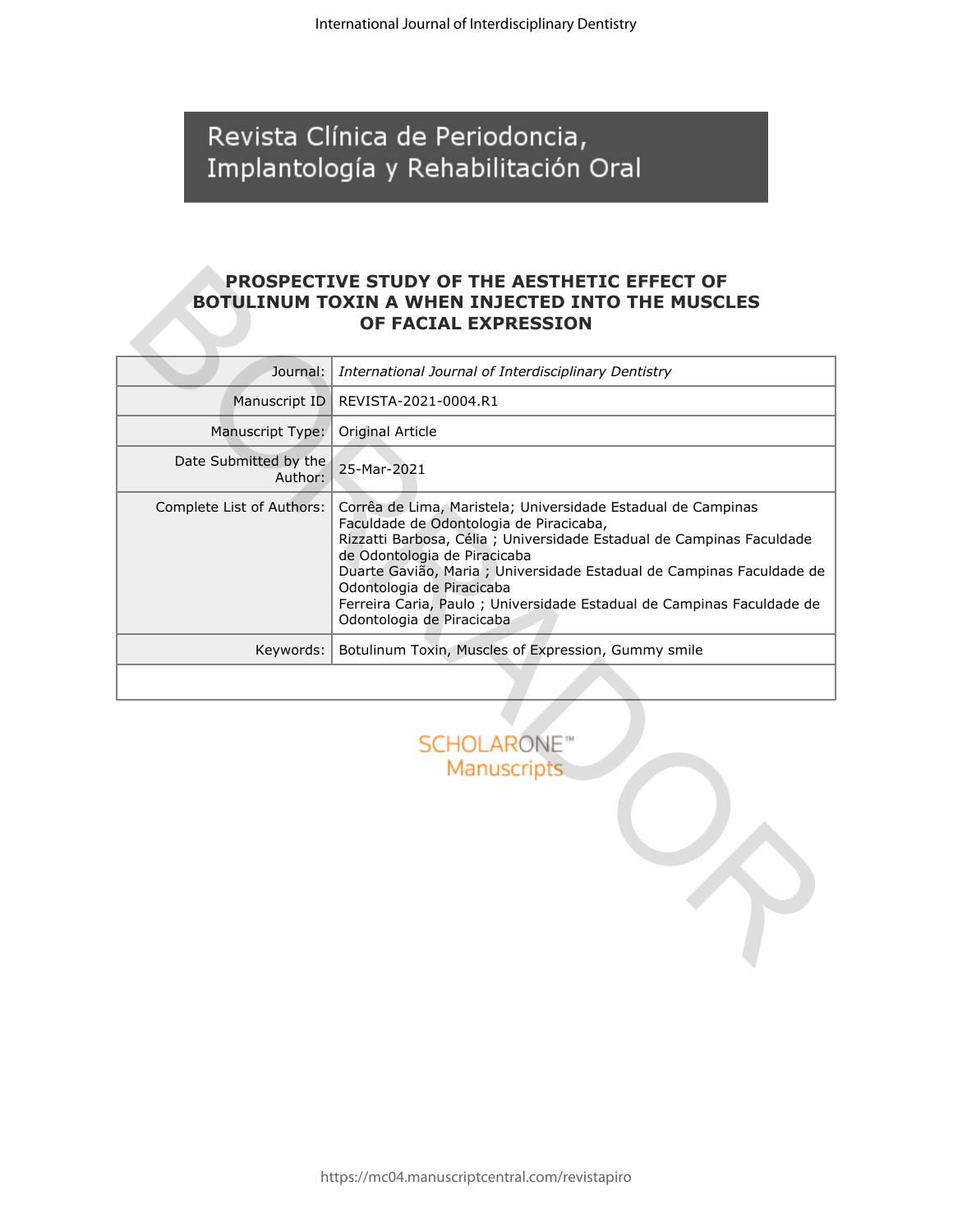Revista Clínica de Periodoncia, Implantología y Rehabilitación Oral

### **PROSPECTIVE STUDY OF THE AESTHETIC EFFECT OF BOTULINUM TOXIN A WHEN INJECTED INTO THE MUSCLES OF FACIAL EXPRESSION**

|                                  | <b>PROSPECTIVE STUDY OF THE AESTHETIC EFFECT OF</b><br><b>BOTULINUM TOXIN A WHEN INJECTED INTO THE MUSCLES</b><br>OF FACIAL EXPRESSION                                                                                                                                                                                                                                                                                        |  |  |  |  |  |
|----------------------------------|-------------------------------------------------------------------------------------------------------------------------------------------------------------------------------------------------------------------------------------------------------------------------------------------------------------------------------------------------------------------------------------------------------------------------------|--|--|--|--|--|
| Journal:                         | International Journal of Interdisciplinary Dentistry                                                                                                                                                                                                                                                                                                                                                                          |  |  |  |  |  |
| Manuscript ID                    | REVISTA-2021-0004.R1                                                                                                                                                                                                                                                                                                                                                                                                          |  |  |  |  |  |
| Manuscript Type:                 | Original Article                                                                                                                                                                                                                                                                                                                                                                                                              |  |  |  |  |  |
| Date Submitted by the<br>Author: | 25-Mar-2021                                                                                                                                                                                                                                                                                                                                                                                                                   |  |  |  |  |  |
| Complete List of Authors:        | Corrêa de Lima, Maristela; Universidade Estadual de Campinas<br>Faculdade de Odontologia de Piracicaba,<br>Rizzatti Barbosa, Célia ; Universidade Estadual de Campinas Faculdade<br>de Odontologia de Piracicaba<br>Duarte Gavião, Maria ; Universidade Estadual de Campinas Faculdade de<br>Odontologia de Piracicaba<br>Ferreira Caria, Paulo ; Universidade Estadual de Campinas Faculdade de<br>Odontologia de Piracicaba |  |  |  |  |  |
| Keywords:                        | Botulinum Toxin, Muscles of Expression, Gummy smile                                                                                                                                                                                                                                                                                                                                                                           |  |  |  |  |  |
|                                  |                                                                                                                                                                                                                                                                                                                                                                                                                               |  |  |  |  |  |
|                                  | <b>SCHOLARONE™</b><br><b>Manuscripts</b>                                                                                                                                                                                                                                                                                                                                                                                      |  |  |  |  |  |

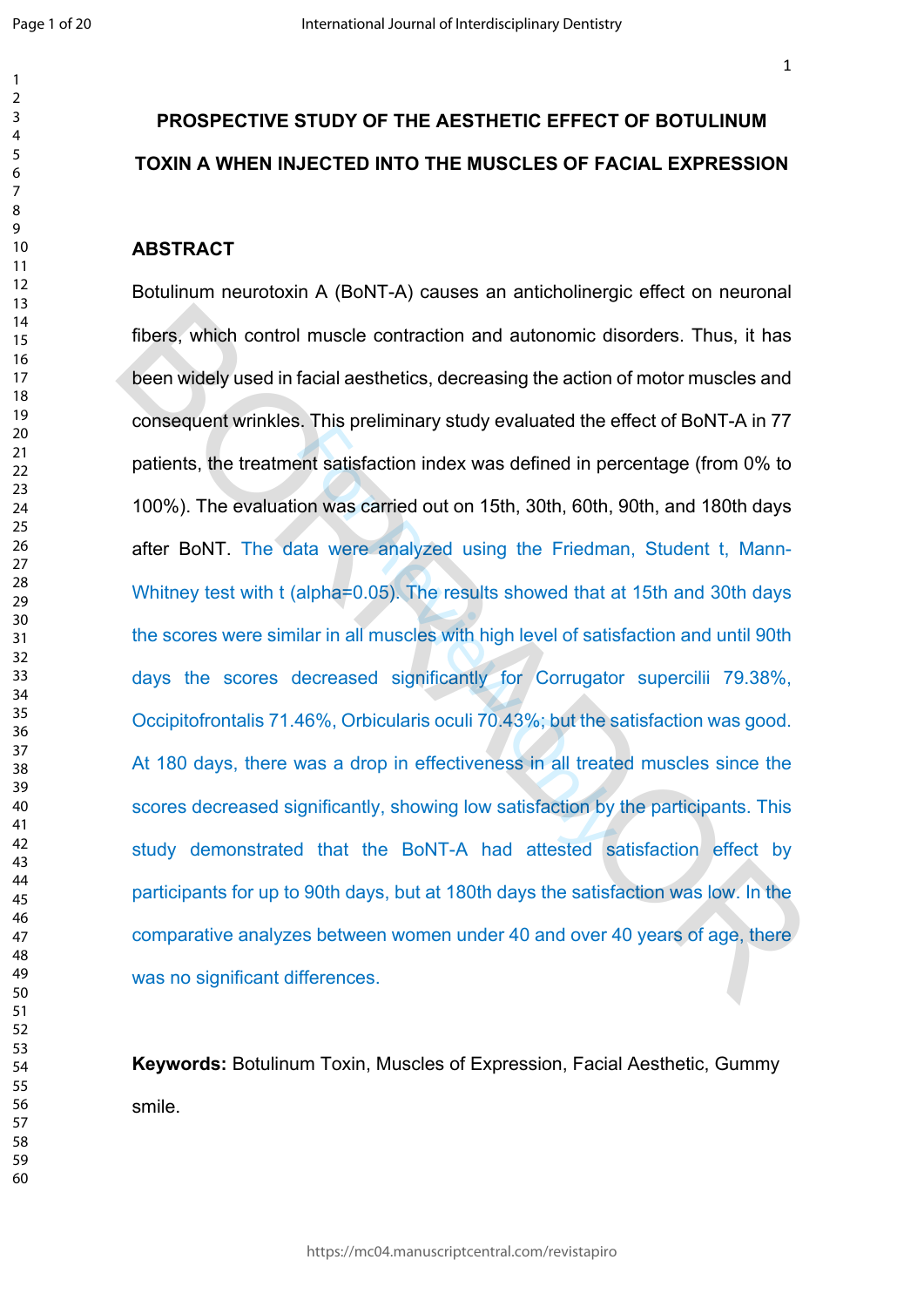$\mathbf{1}$  $\overline{2}$  $\overline{3}$  $\overline{4}$  $\overline{7}$  $\mathsf{Q}$ 

# **PROSPECTIVE STUDY OF THE AESTHETIC EFFECT OF BOTULINUM TOXIN A WHEN INJECTED INTO THE MUSCLES OF FACIAL EXPRESSION**

#### **ABSTRACT**

Formally staty statated the distribution index was defined in performally stated the conduction of the South Ata were analyzed using the Friedmalpha=0.05). The results showed that a silar in all muscles with high level of Botulinum neurotoxin A (BoNT-A) causes an anticholinergic effect on neuronal fibers, which control muscle contraction and autonomic disorders. Thus, it has been widely used in facial aesthetics, decreasing the action of motor muscles and consequent wrinkles. This preliminary study evaluated the effect of BoNT-A in 77 patients, the treatment satisfaction index was defined in percentage (from 0% to 100%). The evaluation was carried out on 15th, 30th, 60th, 90th, and 180th days after BoNT. The data were analyzed using the Friedman, Student t, Mann-Whitney test with t (alpha=0.05). The results showed that at 15th and 30th days the scores were similar in all muscles with high level of satisfaction and until 90th days the scores decreased significantly for Corrugator supercilii 79.38%, Occipitofrontalis 71.46%, Orbicularis oculi 70.43%; but the satisfaction was good. At 180 days, there was a drop in effectiveness in all treated muscles since the scores decreased significantly, showing low satisfaction by the participants. This study demonstrated that the BoNT-A had attested satisfaction effect by participants for up to 90th days, but at 180th days the satisfaction was low. In the comparative analyzes between women under 40 and over 40 years of age, there was no significant differences. fibers, which control muscle contraction and autonomic disorders. Thus, it has<br>been widely used in facial aesthetics, decreasing the action of motor muscles and<br>consequent wrinkles. This preliminary study evaluated the eff

**Keywords:** Botulinum Toxin, Muscles of Expression, Facial Aesthetic, Gummy smile.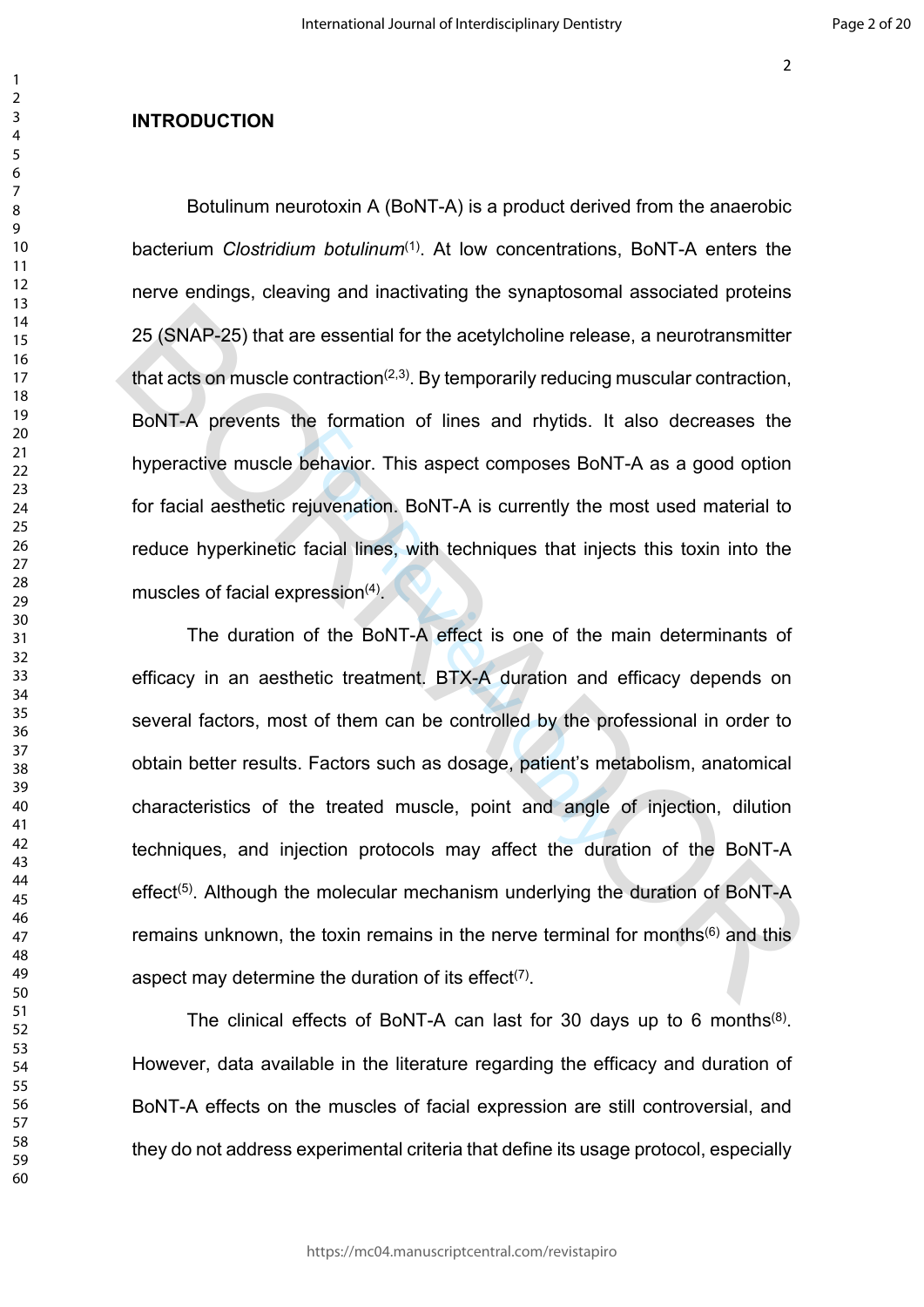### **INTRODUCTION**

Botulinum neurotoxin A (BoNT-A) is a product derived from the anaerobic bacterium *Clostridium botulinum*(1). At low concentrations, BoNT-A enters the nerve endings, cleaving and inactivating the synaptosomal associated proteins 25 (SNAP-25) that are essential for the acetylcholine release, a neurotransmitter that acts on muscle contraction<sup>(2,3)</sup>. By temporarily reducing muscular contraction, BoNT-A prevents the formation of lines and rhytids. It also decreases the hyperactive muscle behavior. This aspect composes BoNT-A as a good option for facial aesthetic rejuvenation. BoNT-A is currently the most used material to reduce hyperkinetic facial lines, with techniques that injects this toxin into the muscles of facial expression $(4)$ .

behavior. This aspect composes BoN<br>ejuvenation. BoNT-A is currently the n<br>facial lines, with techniques that injec<br>oression<sup>(4)</sup>.<br>of the BoNT-A effect is one of the r<br>netic treatment. BTX-A duration and<br>st of them can be c The duration of the BoNT-A effect is one of the main determinants of efficacy in an aesthetic treatment. BTX-A duration and efficacy depends on several factors, most of them can be controlled by the professional in order to obtain better results. Factors such as dosage, patient's metabolism, anatomical characteristics of the treated muscle, point and angle of injection, dilution techniques, and injection protocols may affect the duration of the BoNT-A effect<sup>(5)</sup>. Although the molecular mechanism underlying the duration of BoNT-A remains unknown, the toxin remains in the nerve terminal for months<sup>(6)</sup> and this aspect may determine the duration of its effect $(7)$ . 25 (SNAP-25) that are essential for the acetylcholine release, a neurotransmitter<br>that acts on muscle contraction<sup>(2,3)</sup>. By temporarily reducing muscular contraction,<br>BoNT-A prevents the formation of lines and rhytids. I

The clinical effects of BoNT-A can last for 30 days up to 6 months<sup>(8)</sup>. However, data available in the literature regarding the efficacy and duration of BoNT-A effects on the muscles of facial expression are still controversial, and they do not address experimental criteria that define its usage protocol, especially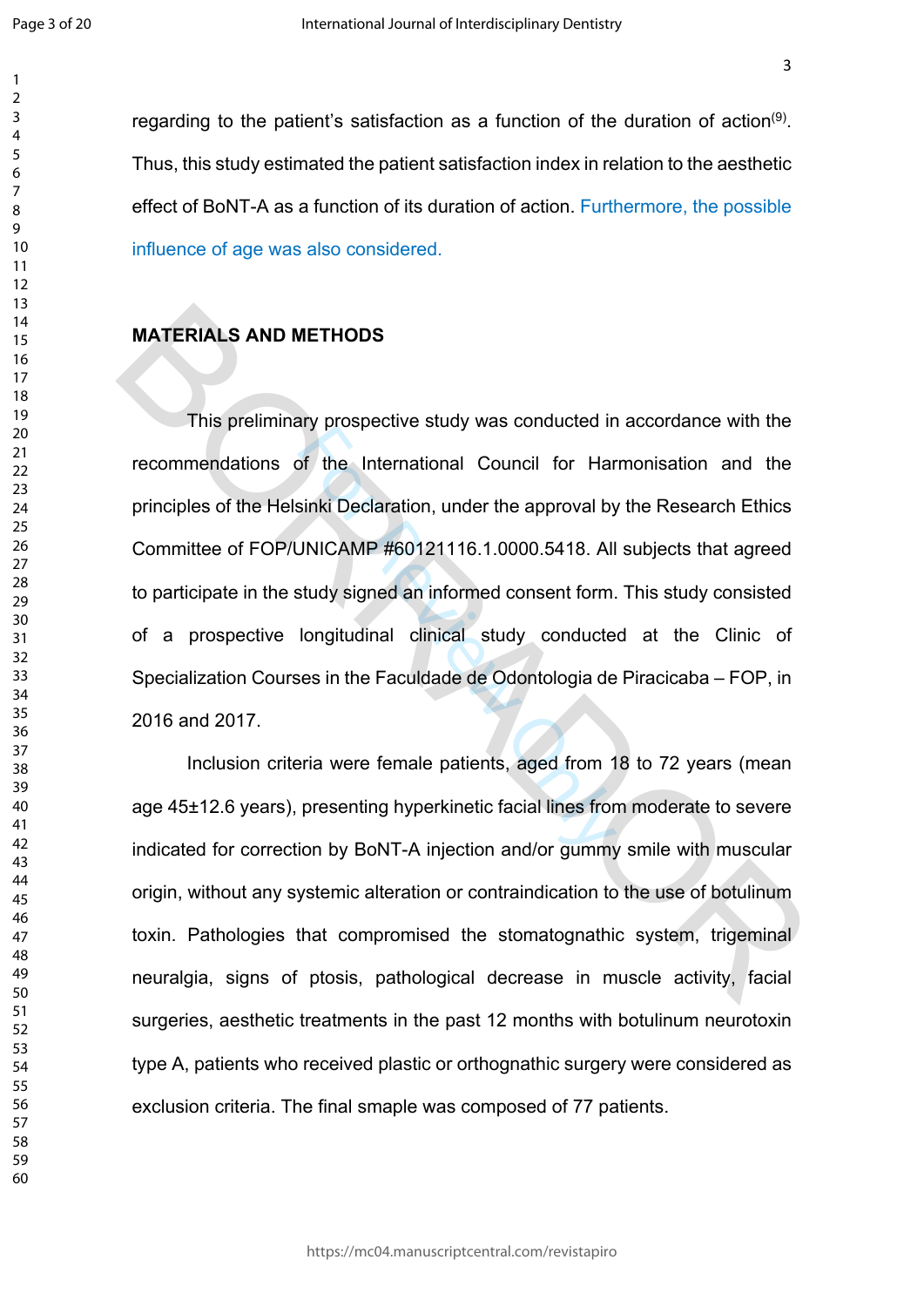$\mathbf{1}$  $\overline{2}$  $\overline{3}$  $\overline{4}$  $\overline{7}$  $\mathsf{Q}$ 

regarding to the patient's satisfaction as a function of the duration of action<sup>(9)</sup>. Thus, this study estimated the patient satisfaction index in relation to the aesthetic effect of BoNT-A as a function of its duration of action. Furthermore, the possible influence of age was also considered.

#### **MATERIALS AND METHODS**

Experience the International Council for Harmonic Sinki Declaration, under the approval by<br>JNICAMP #60121116.1.0000.5418. All<br>study signed an informed consent form.<br>longitudinal clinical study conducte<br>ses in the Faculdade This preliminary prospective study was conducted in accordance with the recommendations of the International Council for Harmonisation and the principles of the Helsinki Declaration, under the approval by the Research Ethics Committee of FOP/UNICAMP #60121116.1.0000.5418. All subjects that agreed to participate in the study signed an informed consent form. This study consisted of a prospective longitudinal clinical study conducted at the Clinic of Specialization Courses in the Faculdade de Odontologia de Piracicaba – FOP, in 2016 and 2017. MATERIALS AND METHODS<br>
This preliminary prospective study was conducted in accordance with the<br>
recommendations of the International Council for Harmonisation and the<br>
principles of the Helsinki Declaration, under the appr

Inclusion criteria were female patients, aged from 18 to 72 years (mean age 45±12.6 years), presenting hyperkinetic facial lines from moderate to severe indicated for correction by BoNT-A injection and/or gummy smile with muscular origin, without any systemic alteration or contraindication to the use of botulinum toxin. Pathologies that compromised the stomatognathic system, trigeminal neuralgia, signs of ptosis, pathological decrease in muscle activity, facial surgeries, aesthetic treatments in the past 12 months with botulinum neurotoxin type A, patients who received plastic or orthognathic surgery were considered as exclusion criteria. The final smaple was composed of 77 patients.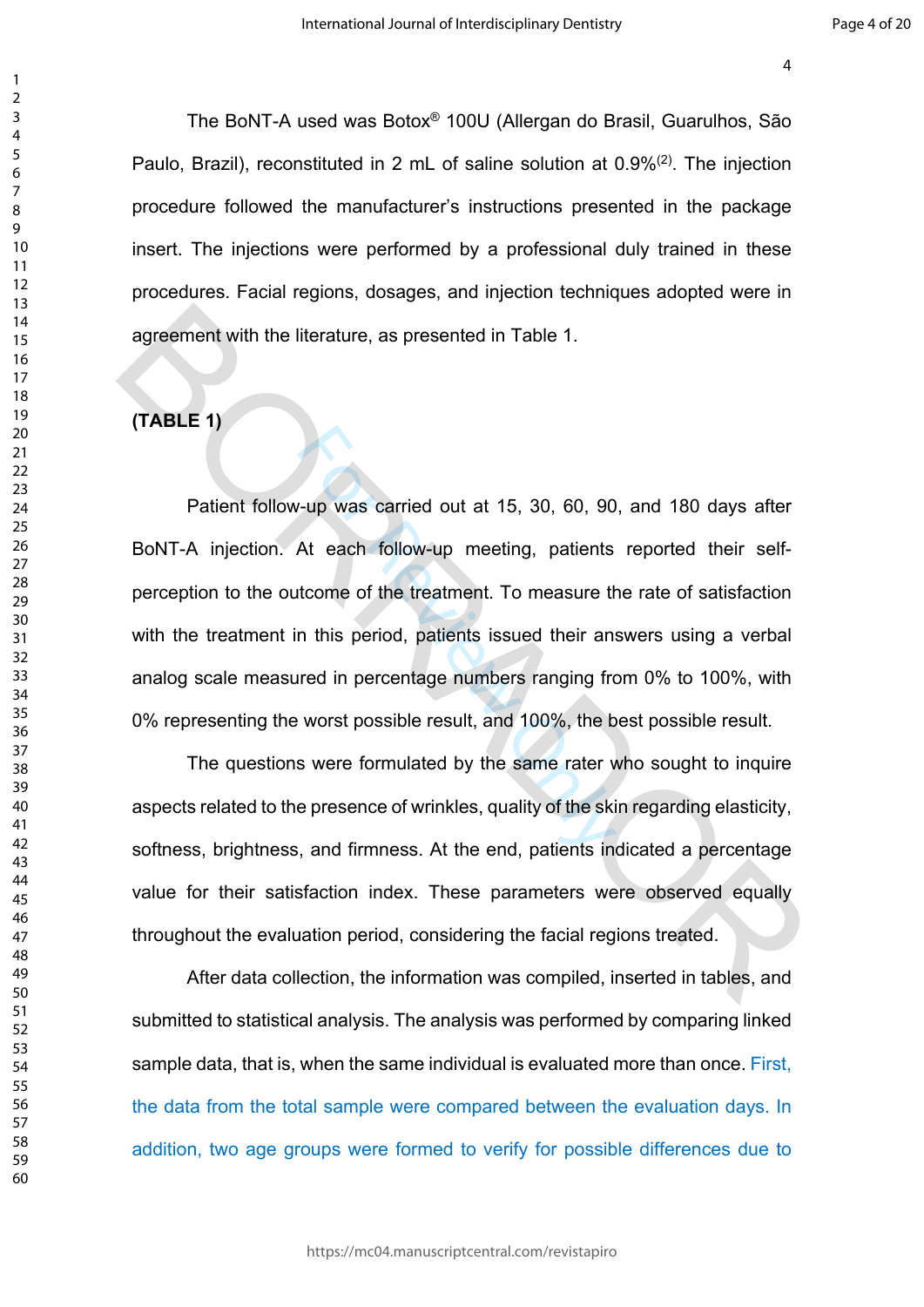The BoNT-A used was Botox® 100U (Allergan do Brasil, Guarulhos, São Paulo, Brazil), reconstituted in 2 mL of saline solution at 0.9%(2). The injection procedure followed the manufacturer's instructions presented in the package insert. The injections were performed by a professional duly trained in these procedures. Facial regions, dosages, and injection techniques adopted were in agreement with the literature, as presented in Table 1.

# **(TABLE 1)**

-up was carried out at 15, 30, 60, 90<br>At each follow-up meeting, patients<br>tcome of the treatment. To measure the<br>in this period, patients issued their an:<br>arred in percentage numbers ranging fre<br>worst possible result, and Patient follow-up was carried out at 15, 30, 60, 90, and 180 days after BoNT-A injection. At each follow-up meeting, patients reported their selfperception to the outcome of the treatment. To measure the rate of satisfaction with the treatment in this period, patients issued their answers using a verbal analog scale measured in percentage numbers ranging from 0% to 100%, with 0% representing the worst possible result, and 100%, the best possible result. agreement with the literature, as presented in Table 1.<br>
(TABLE 1)<br>
Patient follow-up was carried out at 15, 30, 60, 90, and 180 days after<br>
BoNT-A injection. At each follow-up meeting, patients reported their self-<br>
perce

The questions were formulated by the same rater who sought to inquire aspects related to the presence of wrinkles, quality of the skin regarding elasticity, softness, brightness, and firmness. At the end, patients indicated a percentage value for their satisfaction index. These parameters were observed equally throughout the evaluation period, considering the facial regions treated.

After data collection, the information was compiled, inserted in tables, and submitted to statistical analysis. The analysis was performed by comparing linked sample data, that is, when the same individual is evaluated more than once. First, the data from the total sample were compared between the evaluation days. In addition, two age groups were formed to verify for possible differences due to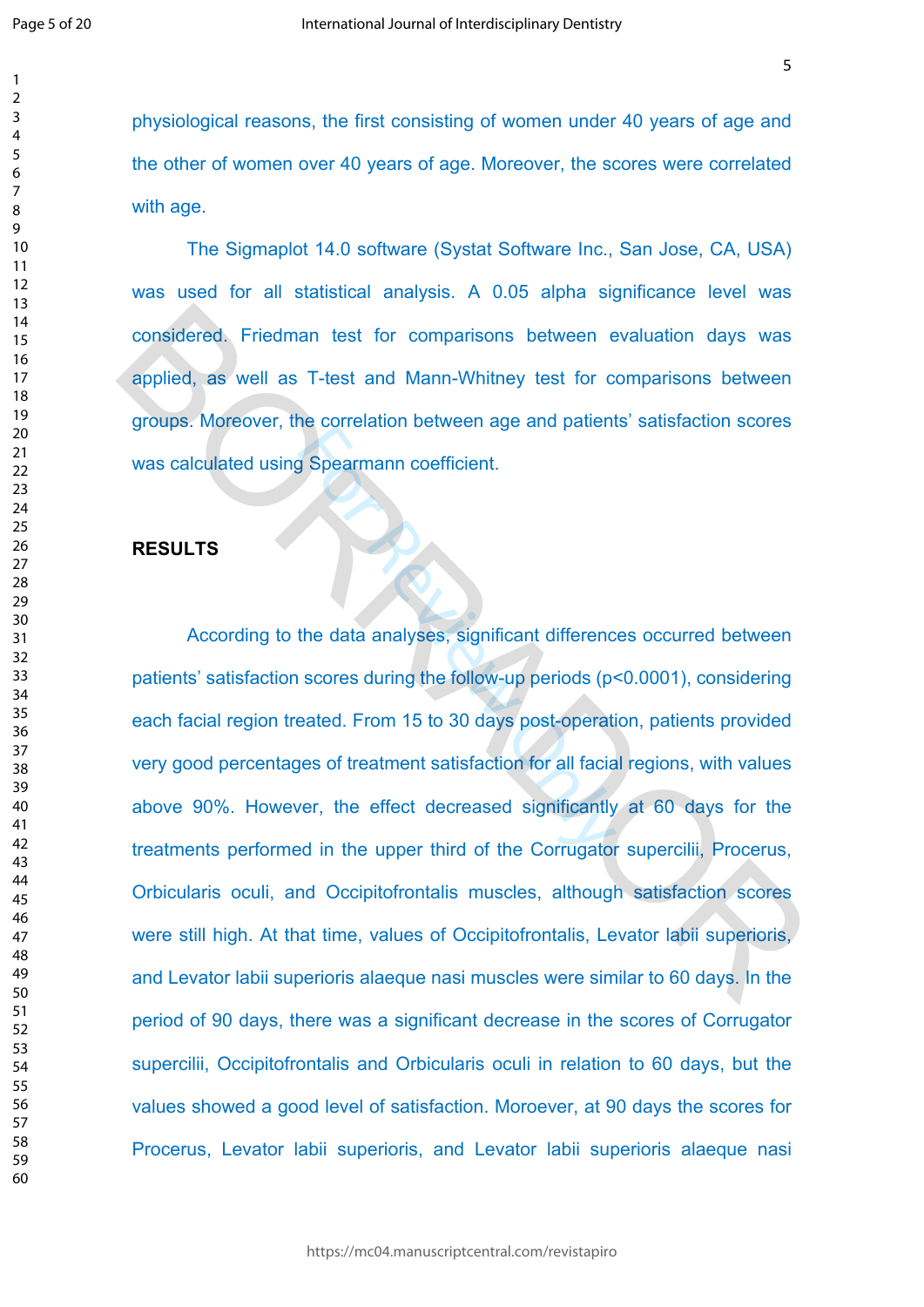$\mathbf{1}$  $\overline{2}$  $\overline{3}$  $\overline{4}$  $\overline{7}$ 

physiological reasons, the first consisting of women under 40 years of age and the other of women over 40 years of age. Moreover, the scores were correlated with age.

The Sigmaplot 14.0 software (Systat Software Inc., San Jose, CA, USA) was used for all statistical analysis. A 0.05 alpha significance level was considered. Friedman test for comparisons between evaluation days was applied, as well as T-test and Mann-Whitney test for comparisons between groups. Moreover, the correlation between age and patients' satisfaction scores was calculated using Spearmann coefficient.

#### **RESULTS**

For Concludent Detriction, age and patients<br>of Spearmann coefficient.<br>the data analyses, significant difference<br>scores during the follow-up periods (p-<br>eated. From 15 to 30 days post-operation<br>ses of treatment satisfaction According to the data analyses, significant differences occurred between patients' satisfaction scores during the follow-up periods (p<0.0001), considering each facial region treated. From 15 to 30 days post-operation, patients provided very good percentages of treatment satisfaction for all facial regions, with values above 90%. However, the effect decreased significantly at 60 days for the treatments performed in the upper third of the Corrugator supercilii, Procerus, Orbicularis oculi, and Occipitofrontalis muscles, although satisfaction scores were still high. At that time, values of Occipitofrontalis, Levator labii superioris, and Levator labii superioris alaeque nasi muscles were similar to 60 days. In the period of 90 days, there was a significant decrease in the scores of Corrugator supercilii, Occipitofrontalis and Orbicularis oculi in relation to 60 days, but the values showed a good level of satisfaction. Moroever, at 90 days the scores for Procerus, Levator labii superioris, and Levator labii superioris alaeque nasi considered. Friedman test for comparisons between evaluation days was<br>applied, as well as T-test and Mann-Whitney test for comparisons between<br>groups. Moreover, the correlation between age and patients' satisfaction scores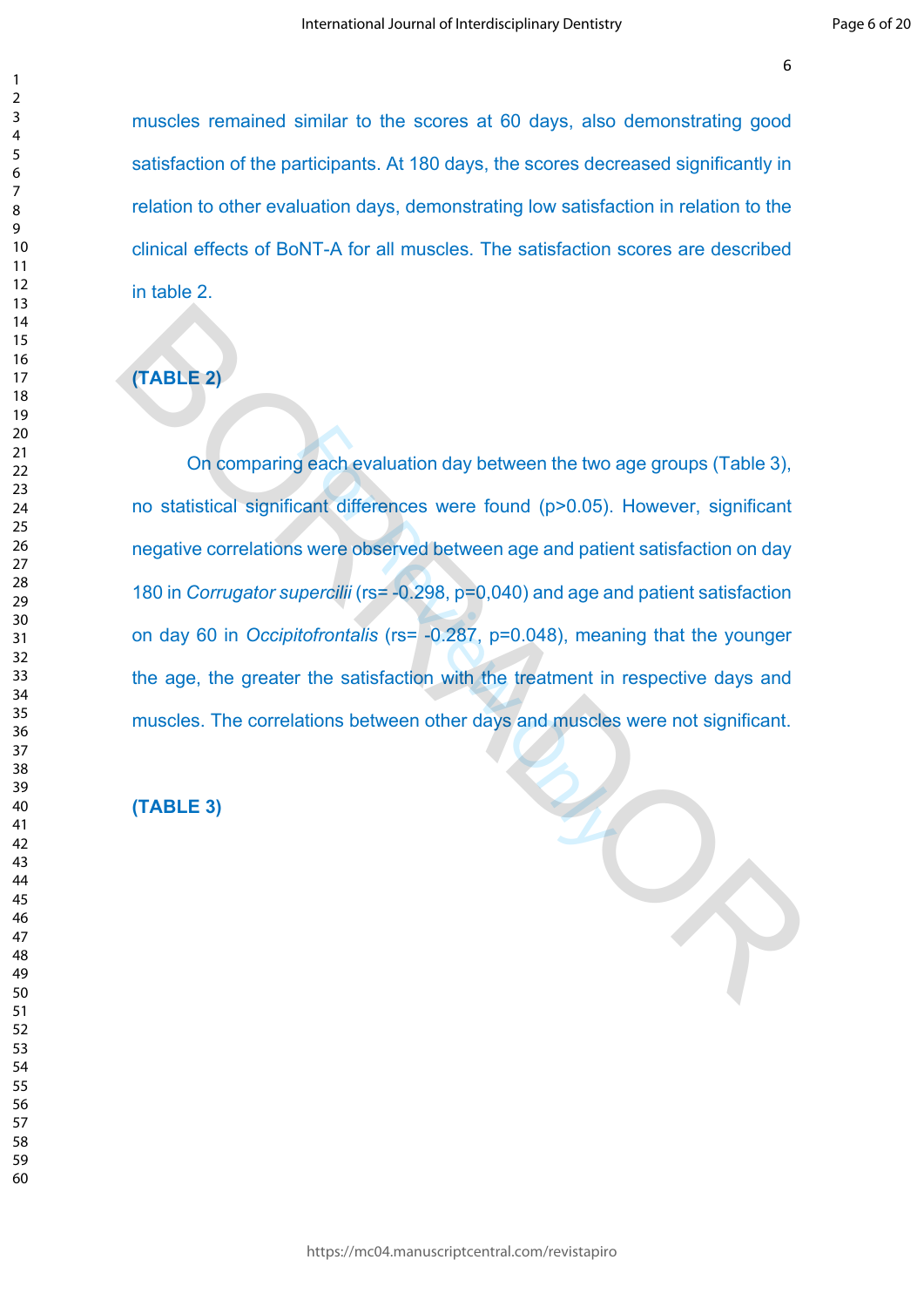muscles remained similar to the scores at 60 days, also demonstrating good satisfaction of the participants. At 180 days, the scores decreased significantly in relation to other evaluation days, demonstrating low satisfaction in relation to the clinical effects of BoNT-A for all muscles. The satisfaction scores are described in table 2.

# **(TABLE 2)**

g each evaluation day between the two<br>cant differences were found (p>0.05).<br>S were observed between age and patie<br>percilii (rs= -0.298, p=0.040) and age and<br>tofrontalis (rs= -0.287, p=0.048), mear<br>the satisfaction with th On comparing each evaluation day between the two age groups (Table 3), no statistical significant differences were found (p>0.05). However, significant negative correlations were observed between age and patient satisfaction on day 180 in *Corrugator supercilii* (rs= -0.298, p=0,040) and age and patient satisfaction on day 60 in *Occipitofrontalis* (rs= -0.287, p=0.048), meaning that the younger the age, the greater the satisfaction with the treatment in respective days and muscles. The correlations between other days and muscles were not significant. TABLE 2)<br>
On comparing each evaluation day between the two age groups (Table 3),<br>
no statistical significant differences were found (p>0.05). However, significant<br>
negative correlations were observed between age and patie

# **(TABLE 3)**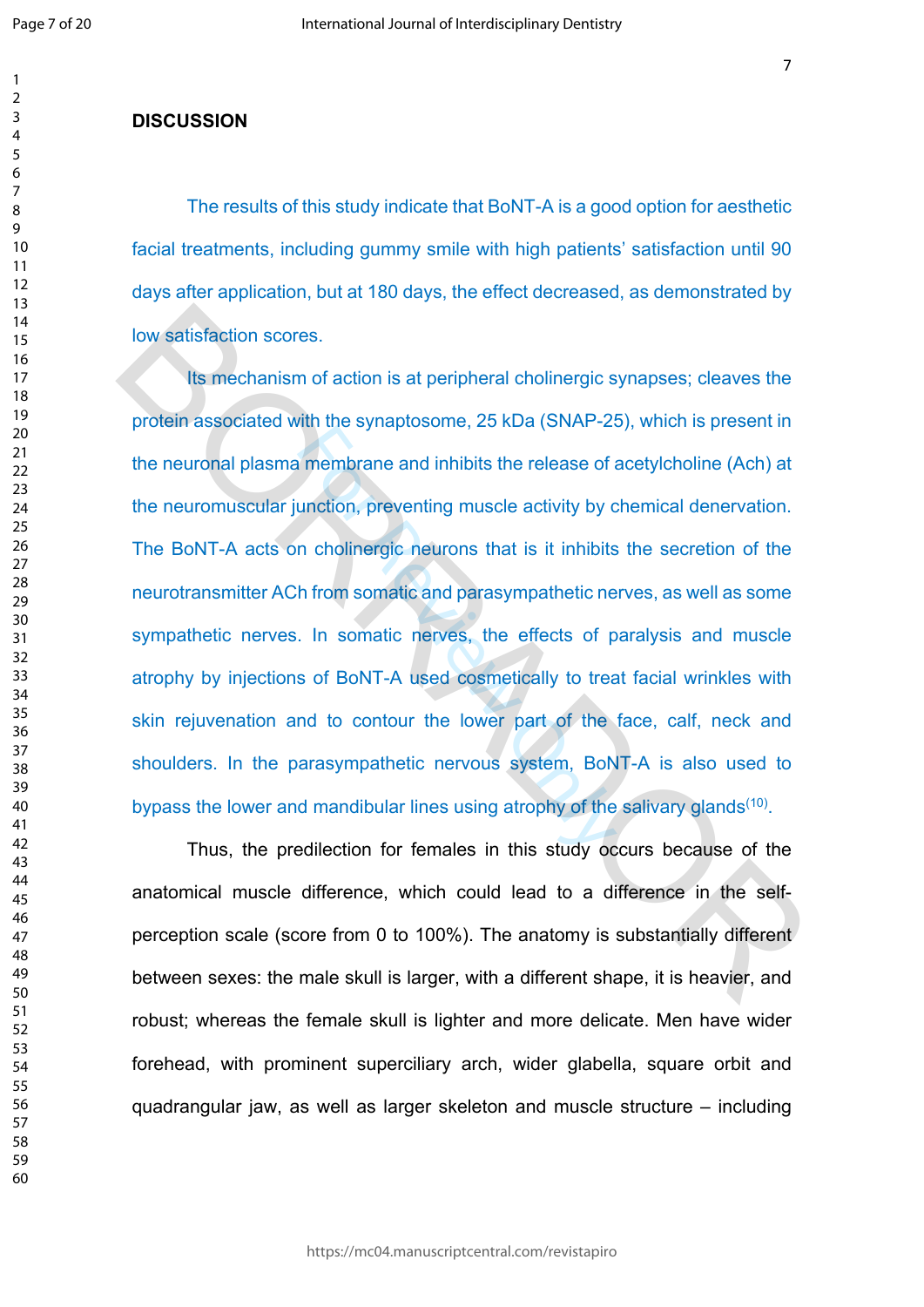$\mathbf{1}$  $\overline{2}$  $\overline{3}$  $\overline{4}$  $\overline{7}$ 

#### **DISCUSSION**

The results of this study indicate that BoNT-A is a good option for aesthetic facial treatments, including gummy smile with high patients' satisfaction until 90 days after application, but at 180 days, the effect decreased, as demonstrated by low satisfaction scores.

For all the synaptecently, 25 head (51.7 a. 2)<br>Internation, preventing muscle activity by concluded to the release of<br>a unction, preventing muscle activity by concluded to the<br>absorption of the solution of the solution of Its mechanism of action is at peripheral cholinergic synapses; cleaves the protein associated with the synaptosome, 25 kDa (SNAP-25), which is present in the neuronal plasma membrane and inhibits the release of acetylcholine (Ach) at the neuromuscular junction, preventing muscle activity by chemical denervation. The BoNT-A acts on cholinergic neurons that is it inhibits the secretion of the neurotransmitter ACh from somatic and parasympathetic nerves, as well as some sympathetic nerves. In somatic nerves, the effects of paralysis and muscle atrophy by injections of BoNT-A used cosmetically to treat facial wrinkles with skin rejuvenation and to contour the lower part of the face, calf, neck and shoulders. In the parasympathetic nervous system, BoNT-A is also used to bypass the lower and mandibular lines using atrophy of the salivary glands<sup>(10)</sup>. low satisfaction scores.<br>
Its mechanism of action is at peripheral cholinergic synapses; cleaves the<br>
protein associated with the synaptosome, 25 kDa (SNAP-25), which is present in<br>
the neuronal plasma membrane and inhibit

Thus, the predilection for females in this study occurs because of the anatomical muscle difference, which could lead to a difference in the selfperception scale (score from 0 to 100%). The anatomy is substantially different between sexes: the male skull is larger, with a different shape, it is heavier, and robust; whereas the female skull is lighter and more delicate. Men have wider forehead, with prominent superciliary arch, wider glabella, square orbit and quadrangular jaw, as well as larger skeleton and muscle structure – including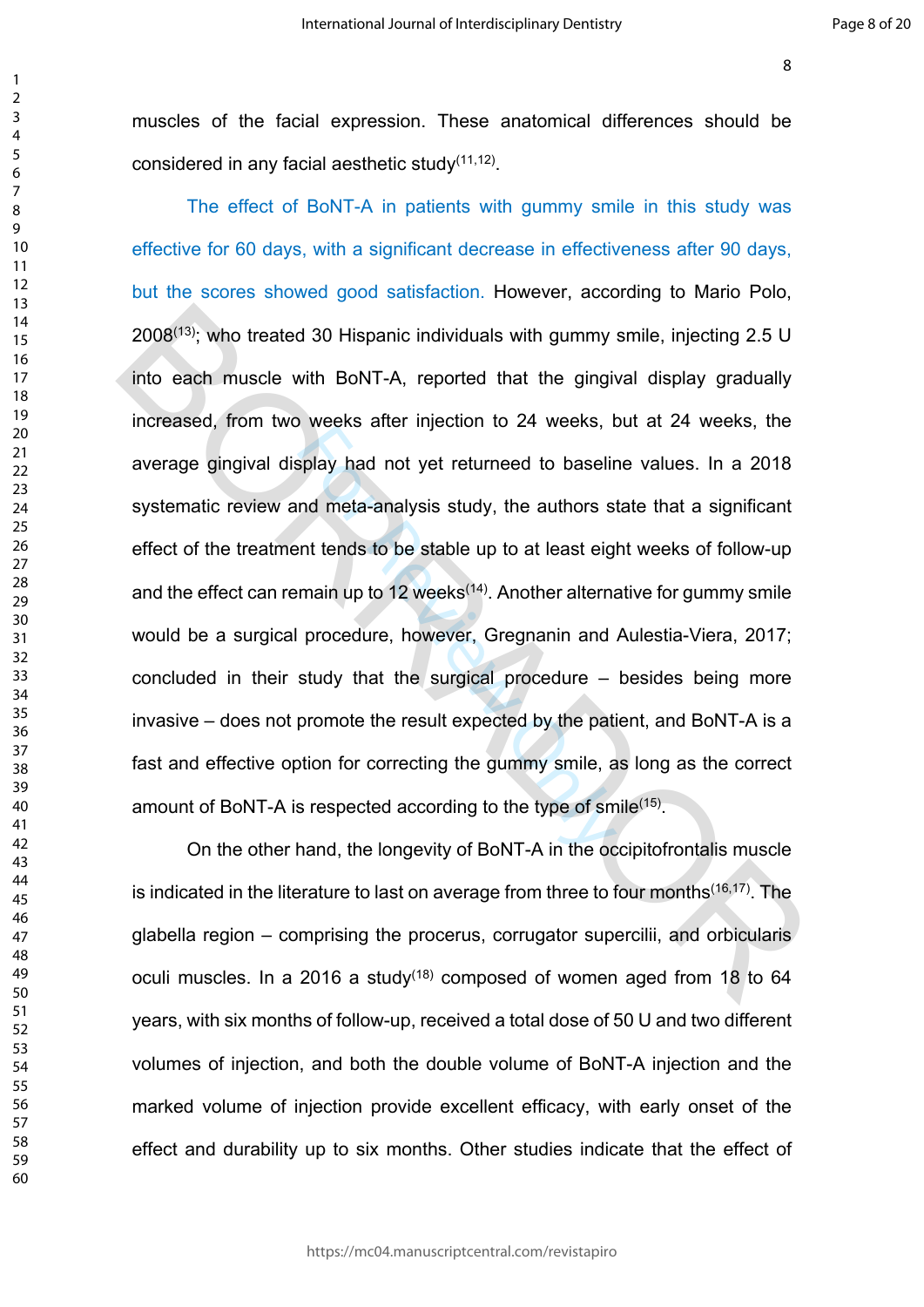muscles of the facial expression. These anatomical differences should be considered in any facial aesthetic study<sup>(11,12)</sup>.

For all the different contributions of the selection of meta-analysis study, the authors stand meta-analysis study, the authors stand tends to be stable up to at least eig main up to 12 weeks<sup>(14)</sup>. Another alternal proce The effect of BoNT-A in patients with gummy smile in this study was effective for 60 days, with a significant decrease in effectiveness after 90 days, but the scores showed good satisfaction. However, according to Mario Polo, (13); who treated 30 Hispanic individuals with gummy smile, injecting 2.5 U into each muscle with BoNT-A, reported that the gingival display gradually increased, from two weeks after injection to 24 weeks, but at 24 weeks, the average gingival display had not yet returneed to baseline values. In a 2018 systematic review and meta-analysis study, the authors state that a significant effect of the treatment tends to be stable up to at least eight weeks of follow-up and the effect can remain up to 12 weeks<sup> $(14)$ </sup>. Another alternative for gummy smile would be a surgical procedure, however, Gregnanin and Aulestia-Viera, 2017; concluded in their study that the surgical procedure – besides being more invasive – does not promote the result expected by the patient, and BoNT-A is a fast and effective option for correcting the gummy smile, as long as the correct amount of BoNT-A is respected according to the type of smile<sup>(15)</sup>.  $2008^{(15)}$ ; who treated 30 Hispanic individuals with gummy smile, injecting 2.5 U<br>into each muscle with BoNT-A, reported that the gingival display gradually<br>increased, from two weeks after injection to 24 weeks, but at 2

On the other hand, the longevity of BoNT-A in the occipitofrontalis muscle is indicated in the literature to last on average from three to four months<sup>(16,17)</sup>. The glabella region – comprising the procerus, corrugator supercilii, and orbicularis oculi muscles. In a 2016 a study<sup> $(18)$ </sup> composed of women aged from 18 to 64 years, with six months of follow-up, received a total dose of 50 U and two different volumes of injection, and both the double volume of BoNT-A injection and the marked volume of injection provide excellent efficacy, with early onset of the effect and durability up to six months. Other studies indicate that the effect of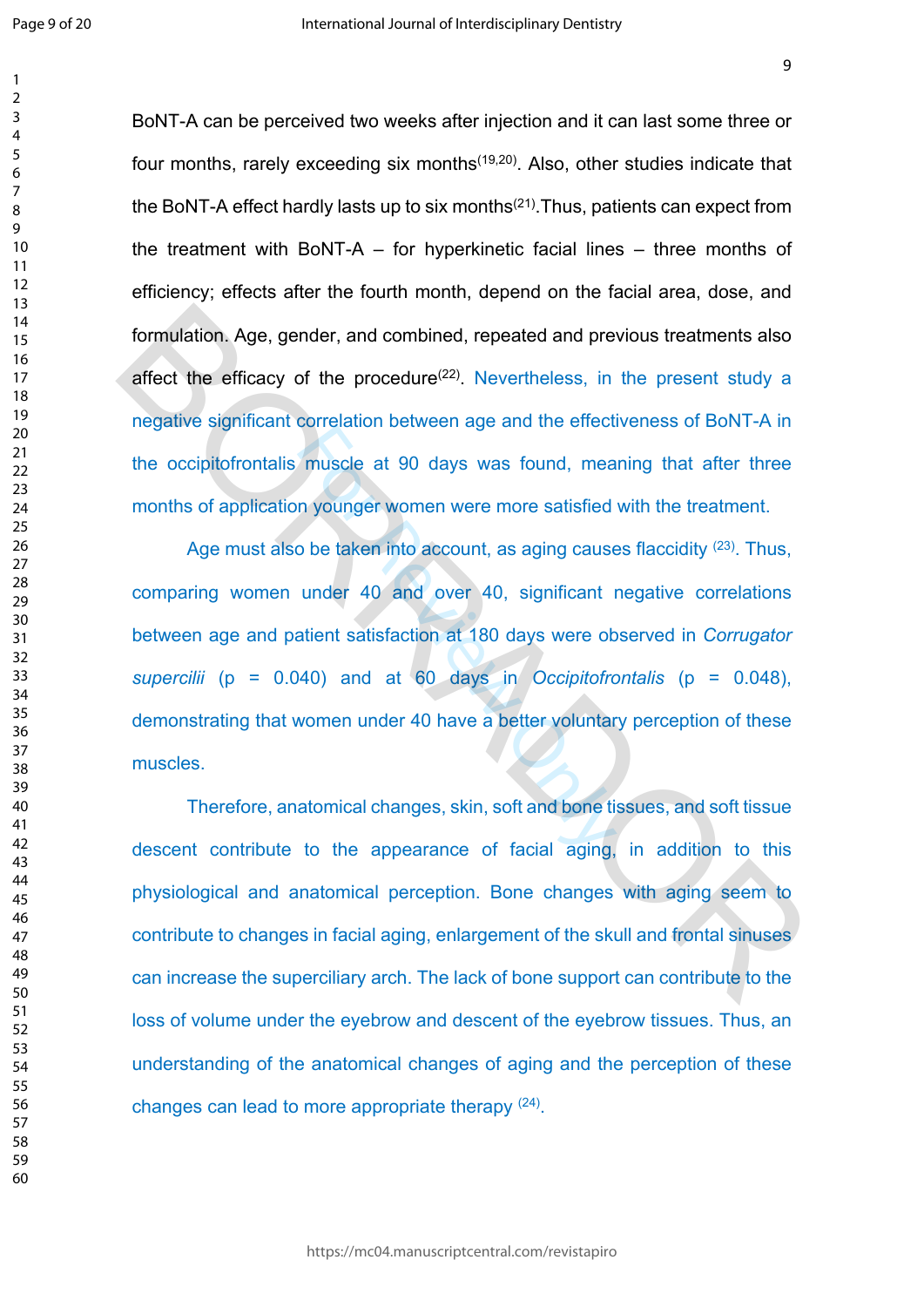$\mathbf{1}$  $\overline{2}$  $\overline{3}$  $\overline{4}$  $\overline{7}$ 

BoNT-A can be perceived two weeks after injection and it can last some three or four months, rarely exceeding six months<sup> $(19,20)$ </sup>. Also, other studies indicate that the BoNT-A effect hardly lasts up to six months<sup> $(21)$ </sup>. Thus, patients can expect from the treatment with BoNT-A – for hyperkinetic facial lines – three months of efficiency; effects after the fourth month, depend on the facial area, dose, and formulation. Age, gender, and combined, repeated and previous treatments also affect the efficacy of the procedure<sup>(22)</sup>. Nevertheless, in the present study a negative significant correlation between age and the effectiveness of BoNT-A in the occipitofrontalis muscle at 90 days was found, meaning that after three months of application younger women were more satisfied with the treatment.

muscle at 90 days was found, mean younger women were more satisfied<br>to be taken into account, as aging cause<br>under 40 and over 40, significant interest at 180 days were ob<br>atient satisfaction at 180 days were ob<br>40) and at Age must also be taken into account, as aging causes flaccidity <sup>(23)</sup>. Thus, comparing women under 40 and over 40, significant negative correlations between age and patient satisfaction at 180 days were observed in *Corrugator supercilii* (p = 0.040) and at 60 days in *Occipitofrontalis* (p = 0.048), demonstrating that women under 40 have a better voluntary perception of these muscles. formulation. Age, gender, and combined, repeated and previous treatments also<br>affect the efficacy of the procedure<sup>(22)</sup>, Nevertheless, in the present study a<br>negative significant correlation between age and the effective

Therefore, anatomical changes, skin, soft and bone tissues, and soft tissue descent contribute to the appearance of facial aging, in addition to this physiological and anatomical perception. Bone changes with aging seem to contribute to changes in facial aging, enlargement of the skull and frontal sinuses can increase the superciliary arch. The lack of bone support can contribute to the loss of volume under the eyebrow and descent of the eyebrow tissues. Thus, an understanding of the anatomical changes of aging and the perception of these changes can lead to more appropriate therapy (24).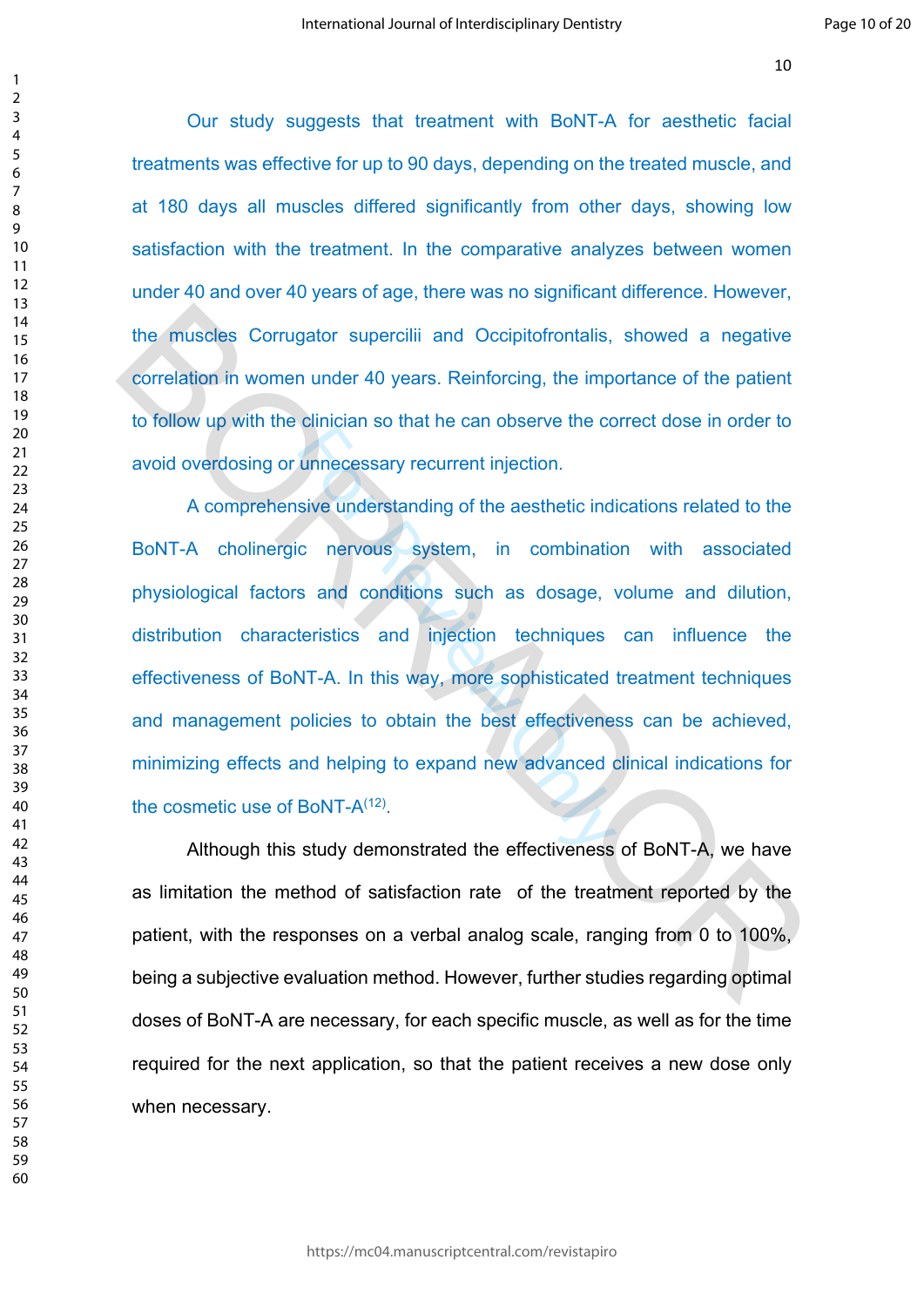Our study suggests that treatment with BoNT-A for aesthetic facial treatments was effective for up to 90 days, depending on the treated muscle, and at 180 days all muscles differed significantly from other days, showing low satisfaction with the treatment. In the comparative analyzes between women under 40 and over 40 years of age, there was no significant difference. However, the muscles Corrugator supercilii and Occipitofrontalis, showed a negative correlation in women under 40 years. Reinforcing, the importance of the patient to follow up with the clinician so that he can observe the correct dose in order to avoid overdosing or unnecessary recurrent injection.

bunnecessary recurrent injection.<br>
sive understanding of the aesthetic indicative vertex system, in combination<br>
sixe and conditions such as dosage,<br>
teristics and injection techniques<br>
NT-A. In this way, more sophisticate A comprehensive understanding of the aesthetic indications related to the BoNT-A cholinergic nervous system, in combination with associated physiological factors and conditions such as dosage, volume and dilution, distribution characteristics and injection techniques can influence the effectiveness of BoNT-A. In this way, more sophisticated treatment techniques and management policies to obtain the best effectiveness can be achieved, minimizing effects and helping to expand new advanced clinical indications for the cosmetic use of BoNT-A<sup>(12)</sup>. the muscles Corrugator supercilii and Occipitofrontalis, showed a negative<br>correlation in women under 40 years. Reinforcing, the importance of the patient<br>to follow up with the dinician so that he can observe the correct d

Although this study demonstrated the effectiveness of BoNT-A, we have as limitation the method of satisfaction rate of the treatment reported by the patient, with the responses on a verbal analog scale, ranging from 0 to 100%, being a subjective evaluation method. However, further studies regarding optimal doses of BoNT-A are necessary, for each specific muscle, as well as for the time required for the next application, so that the patient receives a new dose only when necessary.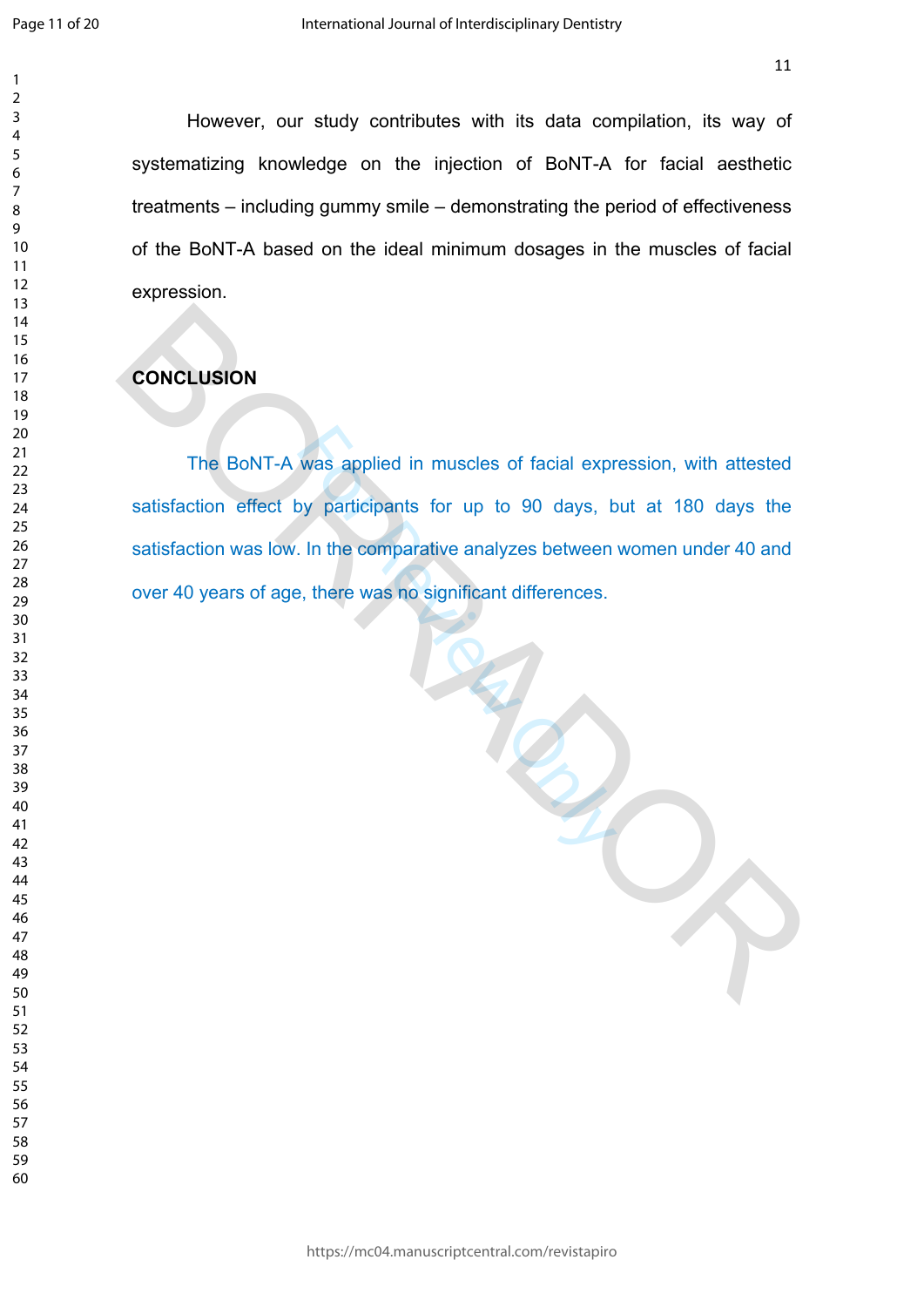However, our study contributes with its data compilation, its way of systematizing knowledge on the injection of BoNT-A for facial aesthetic treatments – including gummy smile – demonstrating the period of effectiveness of the BoNT-A based on the ideal minimum dosages in the muscles of facial expression.

# **CONCLUSION**

was applied in muscles of facial expression and the properties for up to 90 days, between<br>For the comparative analyzes between<br>For the was no significant differences. The BoNT-A was applied in muscles of facial expression, with attested satisfaction effect by participants for up to 90 days, but at 180 days the satisfaction was low. In the comparative analyzes between women under 40 and over 40 years of age, there was no significant differences. The BoNT-A was applied in muscles of facial expression, with attested<br>satisfaction effect by participants for up to 90 days, but at 180 days the<br>satisfaction was low. In the comparative analyzes between women under 40 and<br>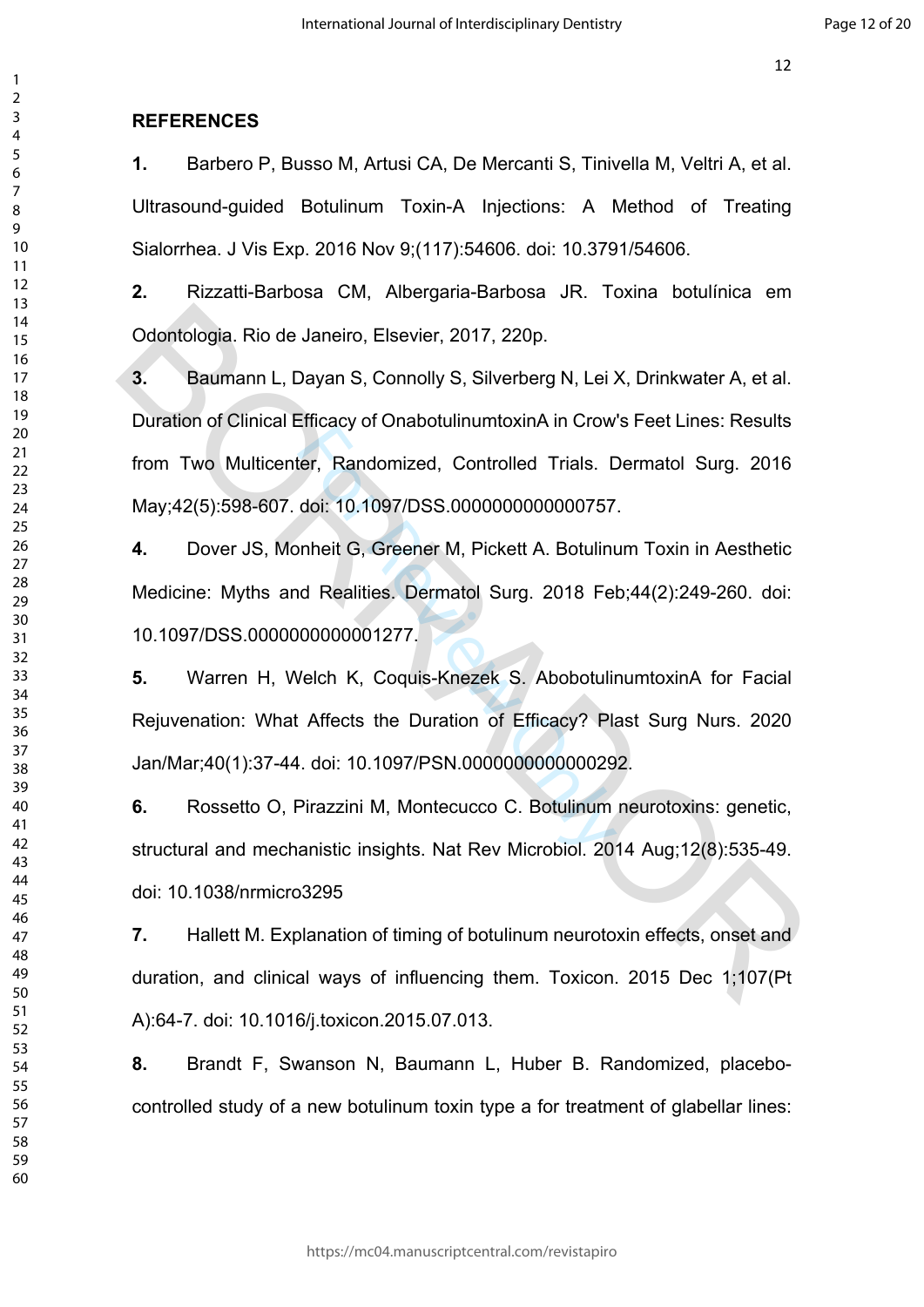### **REFERENCES**

**1.** Barbero P, Busso M, Artusi CA, De Mercanti S, Tinivella M, Veltri A, et al. Ultrasound-guided Botulinum Toxin-A Injections: A Method of Treating Sialorrhea. J Vis Exp. 2016 Nov 9;(117):54606. doi: 10.3791/54606.

**2.** Rizzatti-Barbosa CM, Albergaria-Barbosa JR. Toxina botulínica em Odontologia. Rio de Janeiro, Elsevier, 2017, 220p.

**3.** Baumann L, Dayan S, Connolly S, Silverberg N, Lei X, Drinkwater A, et al. Duration of Clinical Efficacy of OnabotulinumtoxinA in Crow's Feet Lines: Results from Two Multicenter, Randomized, Controlled Trials. Dermatol Surg. 2016 May;42(5):598-607. doi: 10.1097/DSS.0000000000000757. Odontologia. Rio de Janeiro, Elsevier, 2017, 220p.<br>
3. Baumann L, Dayan S, Connolly S, Silverberg N, Lei X, Drinkwater A, et al.<br>
Duration of Clinical Efficacy of OnabotulinumtoxinA in Crow's Feet Lines: Results<br>
from Two

**4.** Dover JS, Monheit G, Greener M, Pickett A. Botulinum Toxin in Aesthetic Medicine: Myths and Realities. Dermatol Surg. 2018 Feb;44(2):249-260. doi: 10.1097/DSS.0000000000001277.

Example 12 Chaptermannermanner in Standard International Controlled Trials. Depthenic 10.1097/DSS.00000000000000757<br>
The Realities. Dermatol Surg. 2018 Feldono00000001277.<br>
Velch K, Coquis-Knezek S. Abobotulin<br>
Example 201 **5.** Warren H, Welch K, Coquis-Knezek S. AbobotulinumtoxinA for Facial Rejuvenation: What Affects the Duration of Efficacy? Plast Surg Nurs. 2020 Jan/Mar;40(1):37-44. doi: 10.1097/PSN.0000000000000292.

**6.** Rossetto O, Pirazzini M, Montecucco C. Botulinum neurotoxins: genetic, structural and mechanistic insights. Nat Rev Microbiol. 2014 Aug;12(8):535-49. doi: 10.1038/nrmicro3295

**7.** Hallett M. Explanation of timing of botulinum neurotoxin effects, onset and duration, and clinical ways of influencing them. Toxicon. 2015 Dec 1;107(Pt A):64-7. doi: 10.1016/j.toxicon.2015.07.013.

**8.** Brandt F, Swanson N, Baumann L, Huber B. Randomized, placebocontrolled study of a new botulinum toxin type a for treatment of glabellar lines: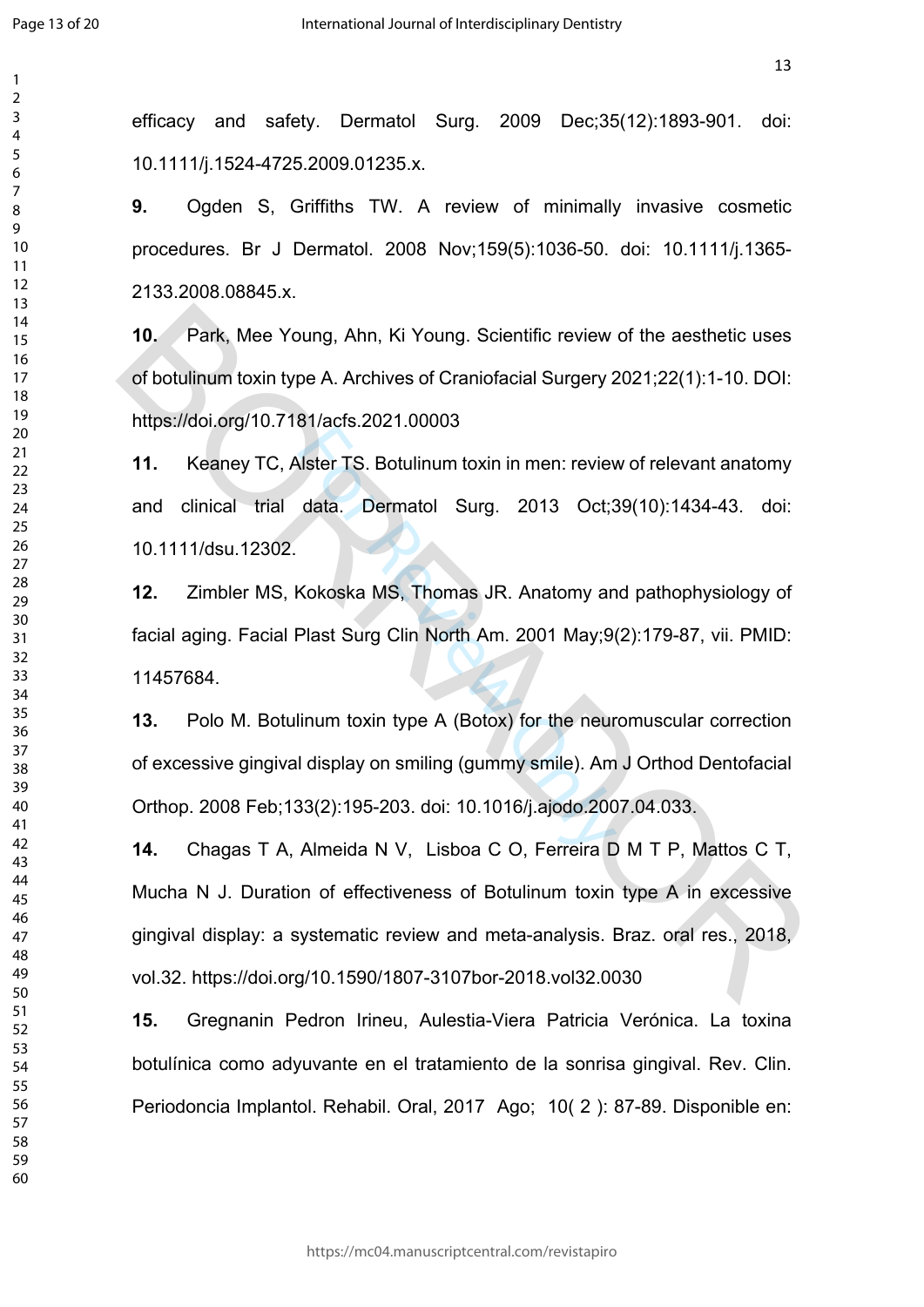$\mathbf{1}$  $\overline{2}$  $\overline{3}$  $\overline{4}$  efficacy and safety. Dermatol Surg. 2009 Dec;35(12):1893-901. doi: 10.1111/j.1524-4725.2009.01235.x.

**9.** Ogden S, Griffiths TW. A review of minimally invasive cosmetic procedures. Br J Dermatol. 2008 Nov;159(5):1036-50. doi: 10.1111/j.1365- 2133.2008.08845.x.

**10.** Park, Mee Young, Ahn, Ki Young. Scientific review of the aesthetic uses of botulinum toxin type A. Archives of Craniofacial Surgery 2021;22(1):1-10. DOI: https://doi.org/10.7181/acfs.2021.00003

**11.** Keaney TC, Alster TS. Botulinum toxin in men: review of relevant anatomy and clinical trial data. Dermatol Surg. 2013 Oct;39(10):1434-43. doi: 10.1111/dsu.12302.

**12.** Zimbler MS, Kokoska MS, Thomas JR. Anatomy and pathophysiology of facial aging. Facial Plast Surg Clin North Am. 2001 May;9(2):179-87, vii. PMID: 11457684.

Mater TS. Botulinum toxin in men: review<br>
data. Dermatol Surg. 2013 Oct;<br>
Kokoska MS, Thomas JR. Anatomy an<br>
Plast Surg Clin North Am. 2001 May;9<br>
linum toxin type A (Botox) for the neur<br>
I display on smiling (gummy smile) **13.** Polo M. Botulinum toxin type A (Botox) for the neuromuscular correction of excessive gingival display on smiling (gummy smile). Am J Orthod Dentofacial Orthop. 2008 Feb;133(2):195-203. doi: 10.1016/j.ajodo.2007.04.033.

**14.** Chagas T A, Almeida N V, Lisboa C O, Ferreira D M T P, Mattos C T, Mucha N J. Duration of effectiveness of Botulinum toxin type A in excessive gingival display: a systematic review and meta-analysis. Braz. oral res., 2018, vol.32. https://doi.org/10.1590/1807-3107bor-2018.vol32.0030 10. Park. Mee Young, Ahn, Ki Young. Scientific review of the aesthetic uses<br>of botulinum toxin type A. Archives of Craniofacial Surgery 2021;22(1):1-10. DOI:<br>https://doi.org/10.7181/acts.2021.00003<br>11. Keaney TC, Alster TS

**15.** Gregnanin Pedron Irineu, Aulestia-Viera Patricia Verónica. La toxina botulínica como adyuvante en el tratamiento de la sonrisa gingival. Rev. Clin. Periodoncia Implantol. Rehabil. Oral, 2017 Ago; 10( 2 ): 87-89. Disponible en: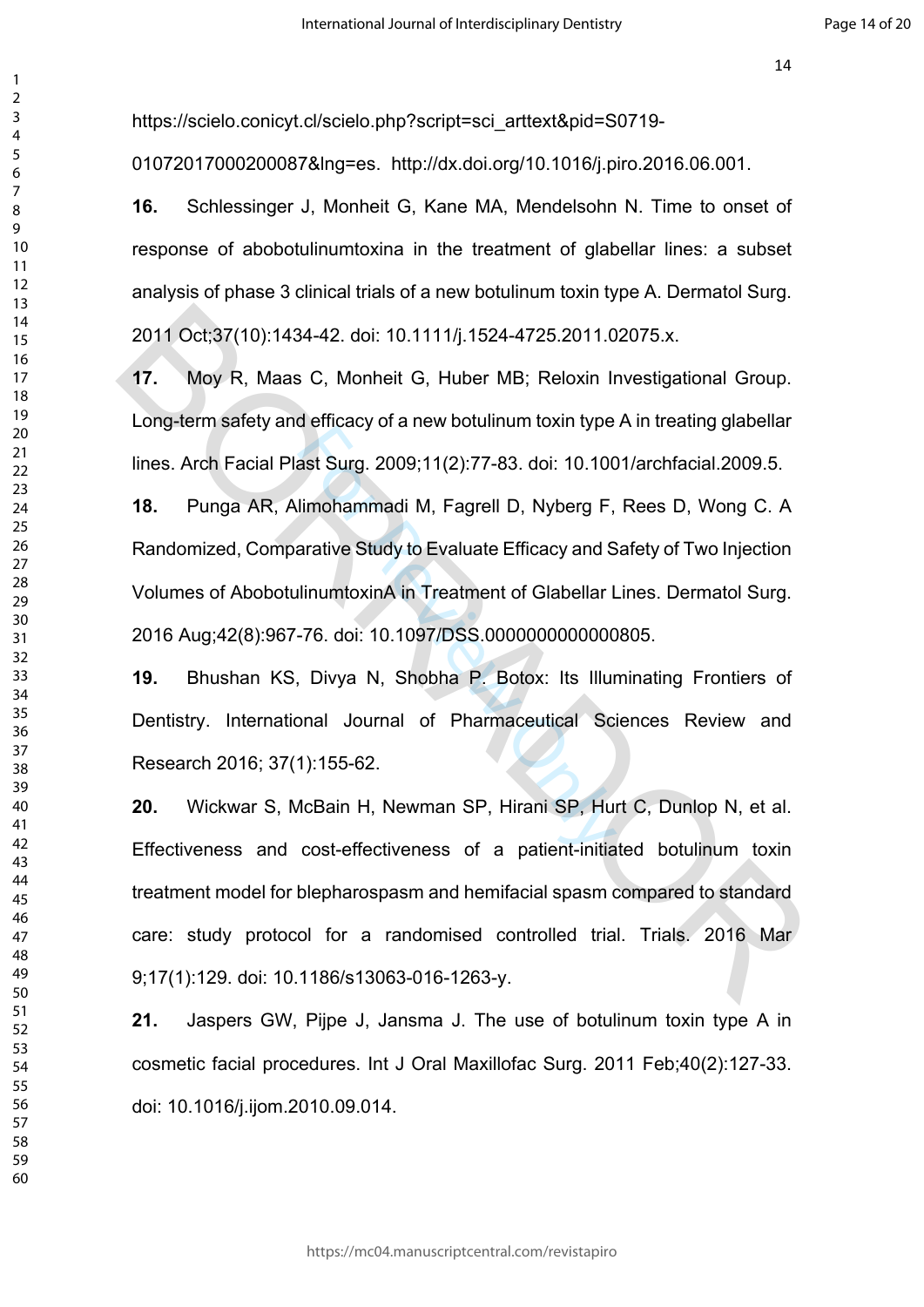https://scielo.conicyt.cl/scielo.php?script=sci\_arttext&pid=S0719-

01072017000200087&lng=es. http://dx.doi.org/10.1016/j.piro.2016.06.001.

**16.** Schlessinger J, Monheit G, Kane MA, Mendelsohn N. Time to onset of response of abobotulinumtoxina in the treatment of glabellar lines: a subset analysis of phase 3 clinical trials of a new botulinum toxin type A. Dermatol Surg. 2011 Oct;37(10):1434-42. doi: 10.1111/j.1524-4725.2011.02075.x.

**17.** Moy R, Maas C, Monheit G, Huber MB; Reloxin Investigational Group. Long-term safety and efficacy of a new botulinum toxin type A in treating glabellar lines. Arch Facial Plast Surg. 2009;11(2):77-83. doi: 10.1001/archfacial.2009.5.

ast Surg. 2009;11(2):77-83. doi: 10.100<br>Ilmohammadi M, Fagrell D, Nyberg F,<br>arative Study to Evaluate Efficacy and S<br>IlinumtoxinA in Treatment of Glabellar I<br>-76. doi: 10.1097/DSS.0000000000000<br>, Divya N, Shobha P. Botox: **18.** Punga AR, Alimohammadi M, Fagrell D, Nyberg F, Rees D, Wong C. A Randomized, Comparative Study to Evaluate Efficacy and Safety of Two Injection Volumes of AbobotulinumtoxinA in Treatment of Glabellar Lines. Dermatol Surg. 2016 Aug;42(8):967-76. doi: 10.1097/DSS.0000000000000805.

**19.** Bhushan KS, Divya N, Shobha P. Botox: Its Illuminating Frontiers of Dentistry. International Journal of Pharmaceutical Sciences Review and Research 2016; 37(1):155-62.

**20.** Wickwar S, McBain H, Newman SP, Hirani SP, Hurt C, Dunlop N, et al. Effectiveness and cost-effectiveness of a patient-initiated botulinum toxin treatment model for blepharospasm and hemifacial spasm compared to standard care: study protocol for a randomised controlled trial. Trials. 2016 Mar 9;17(1):129. doi: 10.1186/s13063-016-1263-y. 2011 Oct;37(10):1434-42. doi: 10.1111/j.1524-4725.2011.02075.x.<br>
17. Moy R, Maas C, Monheit G, Huber MB; Reloxin Investigational Group.<br>
Long-term safety and efficacy of a new botulinum toxin type A in treating glabellar<br>

**21.** Jaspers GW, Pijpe J, Jansma J. The use of botulinum toxin type A in cosmetic facial procedures. Int J Oral Maxillofac Surg. 2011 Feb;40(2):127-33. doi: 10.1016/j.ijom.2010.09.014.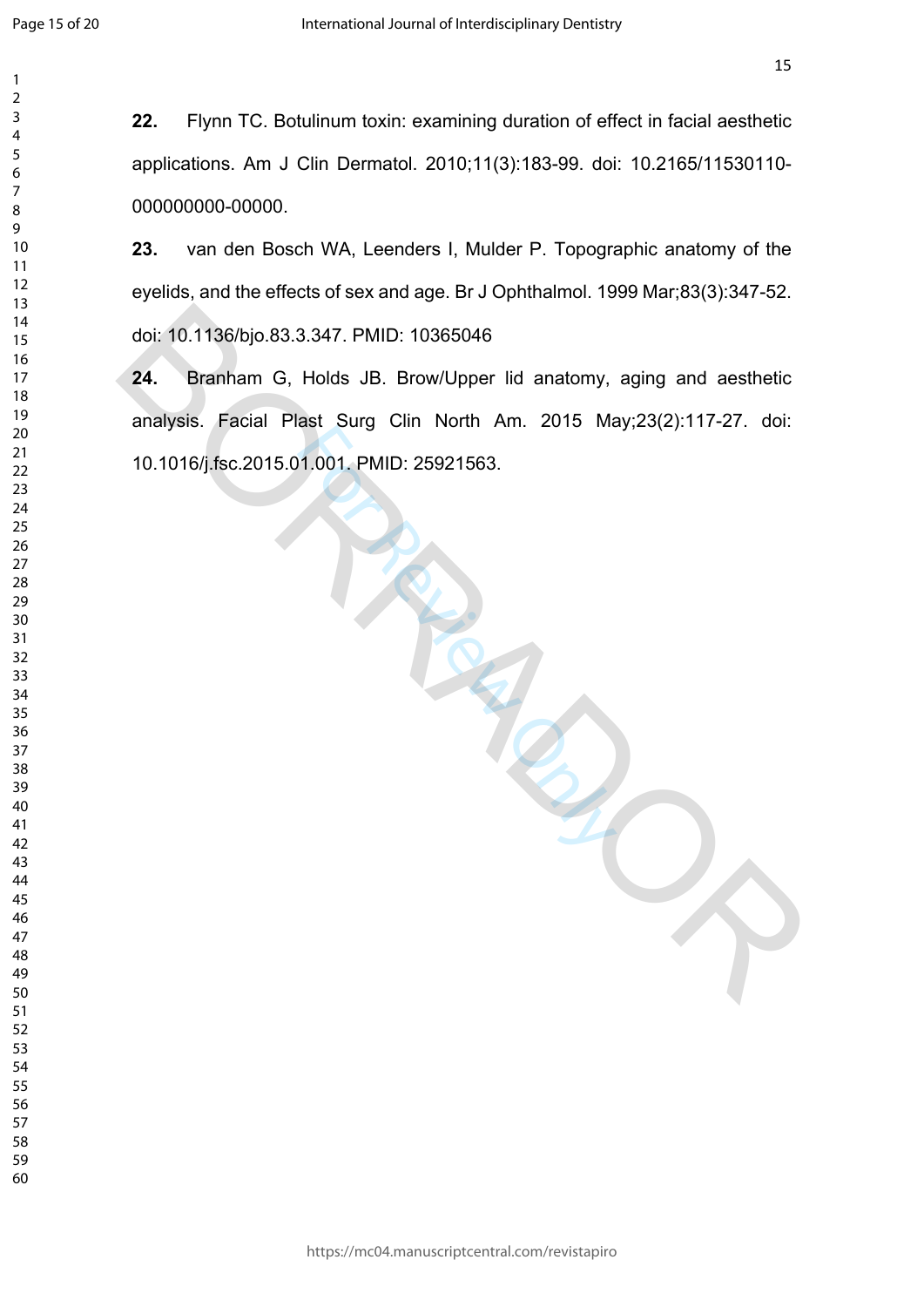$\mathbf{1}$  $\overline{2}$  $\overline{4}$  $\overline{7}$ 

**22.** Flynn TC. Botulinum toxin: examining duration of effect in facial aesthetic applications. Am J Clin Dermatol. 2010;11(3):183-99. doi: 10.2165/11530110- 000000000-00000.

**23.** van den Bosch WA, Leenders I, Mulder P. Topographic anatomy of the eyelids, and the effects of sex and age. Br J Ophthalmol. 1999 Mar;83(3):347-52. doi: 10.1136/bjo.83.3.347. PMID: 10365046

1.001. PMID: 25921563. **24.** Branham G, Holds JB. Brow/Upper lid anatomy, aging and aesthetic analysis. Facial Plast Surg Clin North Am. 2015 May;23(2):117-27. doi: 10.1016/j.fsc.2015.01.001. PMID: 25921563. doi: 10.1136/bjo.83.3.347. PMID: 10365046<br>
24. Branham G, Holds JB. Brow/Upper lid anatomy, aging and aesthetic<br>
analysis. Facial Plast Surg Clin North Am. 2015 May:23(2):117-27. doi:<br>
10.1016/j.fsc.2015.01.001. PMID: 2592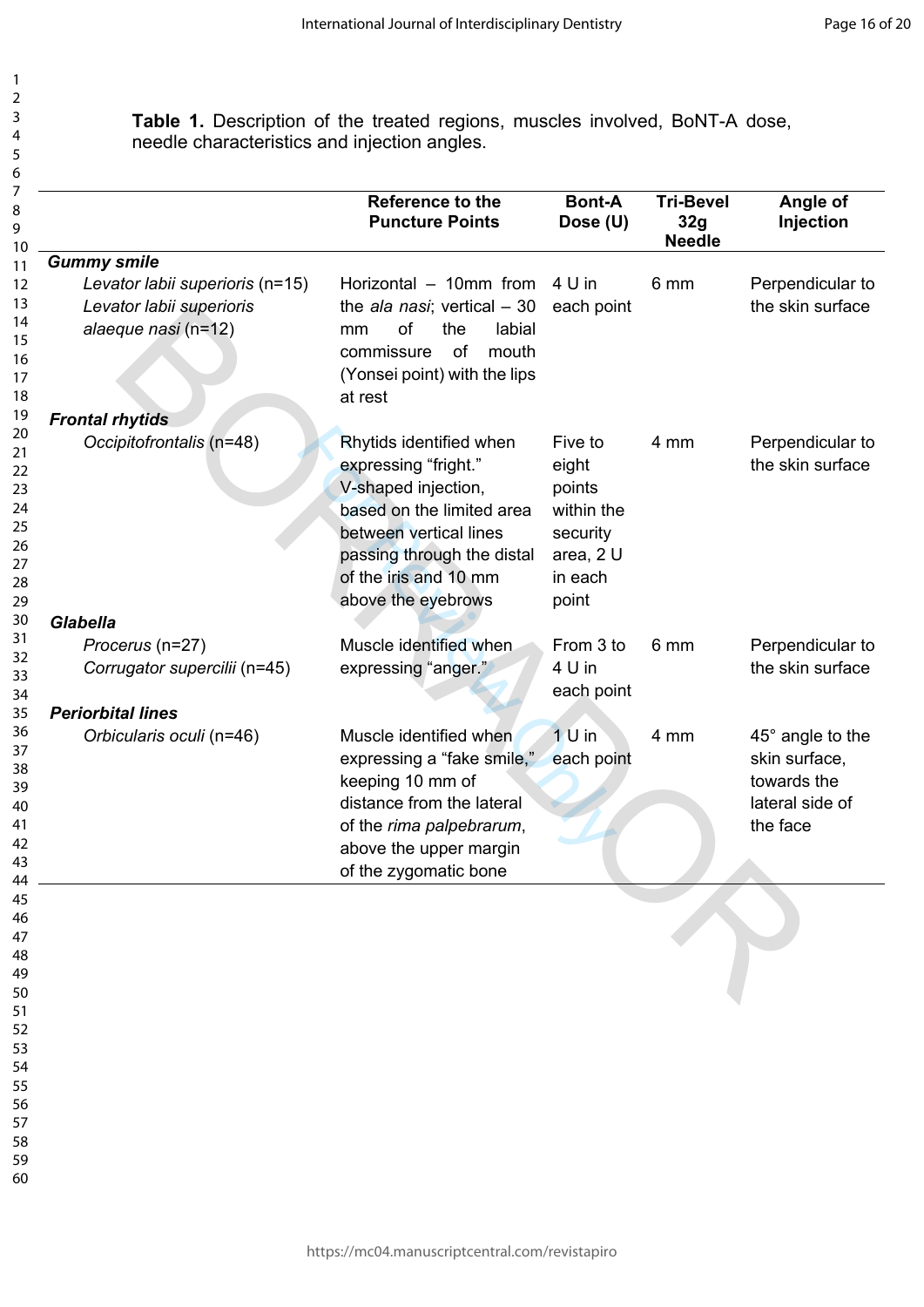**Table 1.** Description of the treated regions, muscles involved, BoNT-A dose, needle characteristics and injection angles.

|                                                                                    | Reference to the<br><b>Puncture Points</b>                                                                                                                                                                 | <b>Bont-A</b><br>Dose (U)                                                             | <b>Tri-Bevel</b><br>32g<br><b>Needle</b> | Angle of<br>Injection                                                           |
|------------------------------------------------------------------------------------|------------------------------------------------------------------------------------------------------------------------------------------------------------------------------------------------------------|---------------------------------------------------------------------------------------|------------------------------------------|---------------------------------------------------------------------------------|
| <b>Gummy smile</b>                                                                 |                                                                                                                                                                                                            |                                                                                       |                                          |                                                                                 |
| Levator labii superioris (n=15)<br>Levator labii superioris<br>alaeque nasi (n=12) | Horizontal - 10mm from<br>the ala nasi; vertical $-30$<br>of<br>the<br>labial<br>mm<br>of<br>commissure<br>mouth<br>(Yonsei point) with the lips<br>at rest                                                | 4 U in<br>each point                                                                  | 6 mm                                     | Perpendicular to<br>the skin surface                                            |
| <b>Frontal rhytids</b>                                                             |                                                                                                                                                                                                            |                                                                                       |                                          |                                                                                 |
| Occipitofrontalis (n=48)                                                           | Rhytids identified when<br>expressing "fright."<br>V-shaped injection,<br>based on the limited area<br>between vertical lines<br>passing through the distal<br>of the iris and 10 mm<br>above the eyebrows | Five to<br>eight<br>points<br>within the<br>security<br>area, 2 U<br>in each<br>point | 4 mm                                     | Perpendicular to<br>the skin surface                                            |
| <b>Glabella</b>                                                                    |                                                                                                                                                                                                            |                                                                                       |                                          |                                                                                 |
| Procerus (n=27)<br>Corrugator supercilii (n=45)                                    | Muscle identified when<br>expressing "anger."                                                                                                                                                              | From 3 to<br>4 U in<br>each point                                                     | 6 mm                                     | Perpendicular to<br>the skin surface                                            |
| <b>Periorbital lines</b>                                                           |                                                                                                                                                                                                            |                                                                                       |                                          |                                                                                 |
| Orbicularis oculi (n=46)                                                           | Muscle identified when<br>expressing a "fake smile,"<br>keeping 10 mm of<br>distance from the lateral<br>of the rima palpebrarum,<br>above the upper margin<br>of the zygomatic bone                       | $1U$ in<br>each point                                                                 | 4 mm                                     | 45° angle to the<br>skin surface,<br>towards the<br>lateral side of<br>the face |
|                                                                                    |                                                                                                                                                                                                            |                                                                                       |                                          |                                                                                 |
|                                                                                    |                                                                                                                                                                                                            |                                                                                       |                                          |                                                                                 |
|                                                                                    |                                                                                                                                                                                                            |                                                                                       |                                          |                                                                                 |
|                                                                                    |                                                                                                                                                                                                            |                                                                                       |                                          |                                                                                 |
|                                                                                    |                                                                                                                                                                                                            |                                                                                       |                                          |                                                                                 |

54 55

- 56 57
- 58 59
- 60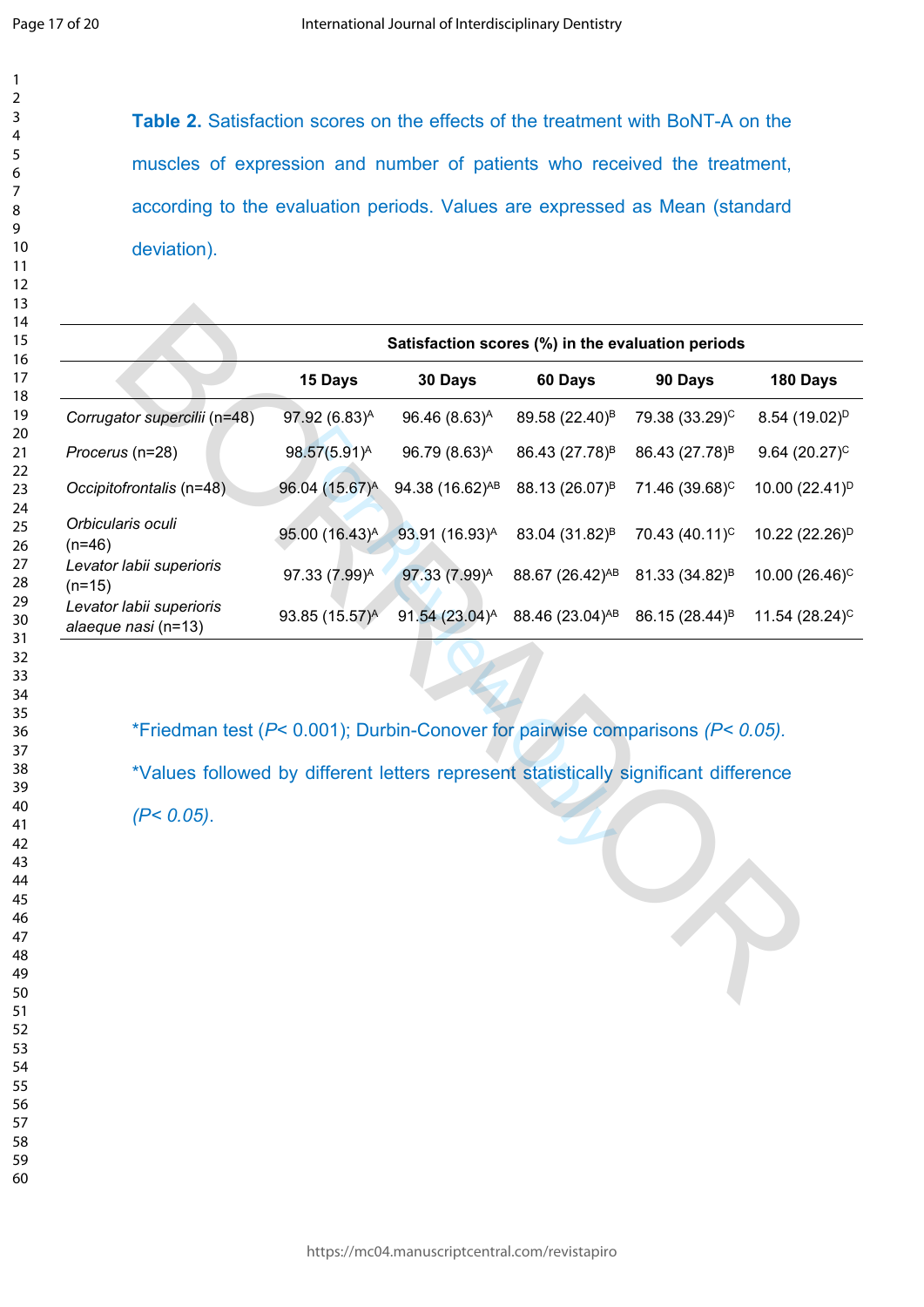$\mathbf{1}$  $\overline{2}$  $\overline{3}$  $\overline{4}$ 5 6

**Table 2.** Satisfaction scores on the effects of the treatment with BoNT-A on the muscles of expression and number of patients who received the treatment, according to the evaluation periods. Values are expressed as Mean (standard deviation).

|                                                                                      |                            | Satisfaction scores (%) in the evaluation periods |                             |                            |                            |  |  |  |
|--------------------------------------------------------------------------------------|----------------------------|---------------------------------------------------|-----------------------------|----------------------------|----------------------------|--|--|--|
|                                                                                      | 15 Days                    | 30 Days                                           | 60 Days                     | 90 Days                    | 180 Days                   |  |  |  |
| Corrugator supercilii (n=48)                                                         | 97.92 (6.83) <sup>A</sup>  | 96.46 (8.63) <sup>A</sup>                         | 89.58 (22.40) <sup>B</sup>  | 79.38 (33.29) <sup>C</sup> | 8.54 (19.02) <sup>D</sup>  |  |  |  |
| Procerus (n=28)                                                                      | $98.57(5.91)^A$            | $96.79(8.63)^A$                                   | 86.43 (27.78) <sup>B</sup>  | 86.43 (27.78) <sup>B</sup> | 9.64 $(20.27)^C$           |  |  |  |
| Occipitofrontalis (n=48)                                                             | 96.04 (15.67) <sup>A</sup> | 94.38 (16.62) <sup>AB</sup>                       | 88.13 (26.07) <sup>B</sup>  | 71.46 (39.68) <sup>C</sup> | 10.00 (22.41) <sup>D</sup> |  |  |  |
| Orbicularis oculi<br>$(n=46)$                                                        | 95.00 (16.43) <sup>A</sup> | 93.91 (16.93) <sup>A</sup>                        | 83.04 (31.82) <sup>B</sup>  | 70.43 (40.11) <sup>C</sup> | 10.22 (22.26) <sup>D</sup> |  |  |  |
| Levator labii superioris<br>$(n=15)$                                                 | 97.33 (7.99) <sup>A</sup>  | 97.33 (7.99) <sup>A</sup>                         | 88.67 (26.42) <sup>AB</sup> | 81.33 (34.82) <sup>B</sup> | 10.00 $(26.46)^{C}$        |  |  |  |
| Levator labii superioris<br>alaeque nasi (n=13)                                      | 93.85 (15.57) <sup>A</sup> | 91.54 (23.04) <sup>A</sup>                        | 88.46 (23.04) <sup>AB</sup> | 86.15 (28.44) <sup>B</sup> | 11.54 $(28.24)^{C}$        |  |  |  |
| *Friedman test (P< 0.001); Durbin-Conover for pairwise comparisons (P< 0.05).        |                            |                                                   |                             |                            |                            |  |  |  |
| *Values followed by different letters represent statistically significant difference |                            |                                                   |                             |                            |                            |  |  |  |
| $(P< 0.05)$ .                                                                        |                            |                                                   |                             |                            |                            |  |  |  |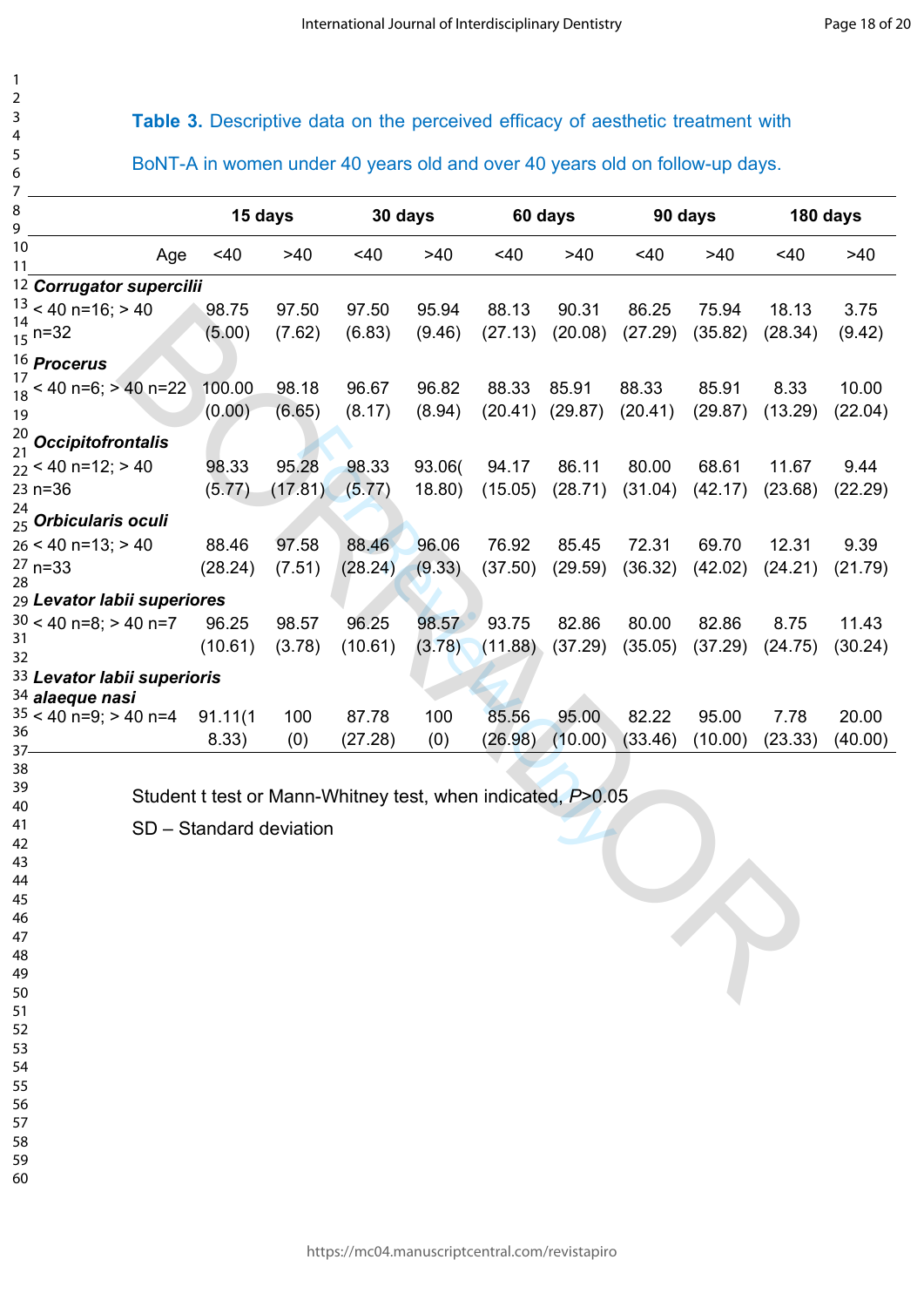# **Table 3.** Descriptive data on the perceived efficacy of aesthetic treatment with

BoNT-A in women under 40 years old and over 40 years old on follow-up days.

| 7                                     |                         |         |                                                               |        |         |         |         |         |          |         |
|---------------------------------------|-------------------------|---------|---------------------------------------------------------------|--------|---------|---------|---------|---------|----------|---------|
| 8<br>9                                | 15 days                 |         | 30 days                                                       |        | 60 days |         | 90 days |         | 180 days |         |
| 10<br>Age<br>11                       | <40                     | $>40$   | <40                                                           | >40    | $<$ 40  | >40     | <40     | >40     | <40      | >40     |
| 12 Corrugator supercilii              |                         |         |                                                               |        |         |         |         |         |          |         |
| $13 < 40$ n=16; > 40                  | 98.75                   | 97.50   | 97.50                                                         | 95.94  | 88.13   | 90.31   | 86.25   | 75.94   | 18.13    | 3.75    |
| $\frac{14}{15}$ n=32                  | (5.00)                  | (7.62)  | (6.83)                                                        | (9.46) | (27.13) | (20.08) | (27.29) | (35.82) | (28.34)  | (9.42)  |
| <sup>16</sup> Procerus                |                         |         |                                                               |        |         |         |         |         |          |         |
| 17<br>< 40 n=6; > 40 n=22             | 100.00                  | 98.18   | 96.67                                                         | 96.82  | 88.33   | 85.91   | 88.33   | 85.91   | 8.33     | 10.00   |
| 18<br>19                              | (0.00)                  | (6.65)  | (8.17)                                                        | (8.94) | (20.41) | (29.87) | (20.41) | (29.87) | (13.29)  | (22.04) |
| 20                                    |                         |         |                                                               |        |         |         |         |         |          |         |
| $\frac{1}{21}$ Occipitofrontalis      |                         |         |                                                               |        |         |         |         |         |          |         |
| $22 < 40$ n=12; > 40                  | 98.33                   | 95.28   | 98.33                                                         | 93.06( | 94.17   | 86.11   | 80.00   | 68.61   | 11.67    | 9.44    |
| 23 n=36                               | (5.77)                  | (17.81) | (5.77)                                                        | 18.80) | (15.05) | (28.71) | (31.04) | (42.17) | (23.68)  | (22.29) |
| 24<br><sub>25</sub> Orbicularis oculi |                         |         |                                                               |        |         |         |         |         |          |         |
| $26 < 40$ n=13; > 40                  | 88.46                   | 97.58   | 88.46                                                         | 96.06  | 76.92   | 85.45   | 72.31   | 69.70   | 12.31    | 9.39    |
| $27 n = 33$                           | (28.24)                 | (7.51)  | (28.24)                                                       | (9.33) | (37.50) | (29.59) | (36.32) | (42.02) | (24.21)  | (21.79) |
| 28                                    |                         |         |                                                               |        |         |         |         |         |          |         |
| 29 Levator labii superiores           |                         |         |                                                               |        |         |         |         |         |          |         |
| $30 < 40$ n=8; > 40 n=7<br>31         | 96.25                   | 98.57   | 96.25                                                         | 98.57  | 93.75   | 82.86   | 80.00   | 82.86   | 8.75     | 11.43   |
| 32                                    | (10.61)                 | (3.78)  | (10.61)                                                       | (3.78) | (11.88) | (37.29) | (35.05) | (37.29) | (24.75)  | (30.24) |
| 33 Levator labii superioris           |                         |         |                                                               |        |         |         |         |         |          |         |
| 34 alaeque nasi                       |                         |         |                                                               |        |         |         |         |         |          |         |
| $35 < 40$ n=9; > 40 n=4<br>36         | 91.11(1)                | 100     | 87.78                                                         | 100    | 85.56   | 95.00   | 82.22   | 95.00   | 7.78     | 20.00   |
| $37 -$                                | 8.33)                   | (0)     | (27.28)                                                       | (0)    | (26.98) | (10.00) | (33.46) | (10.00) | (23.33)  | (40.00) |
| 38                                    |                         |         |                                                               |        |         |         |         |         |          |         |
| 39                                    |                         |         | Student t test or Mann-Whitney test, when indicated, P > 0.05 |        |         |         |         |         |          |         |
| 40                                    |                         |         |                                                               |        |         |         |         |         |          |         |
| 41<br>42                              | SD - Standard deviation |         |                                                               |        |         |         |         |         |          |         |
| 43                                    |                         |         |                                                               |        |         |         |         |         |          |         |
| 44                                    |                         |         |                                                               |        |         |         |         |         |          |         |
| 45                                    |                         |         |                                                               |        |         |         |         |         |          |         |
| 46                                    |                         |         |                                                               |        |         |         |         |         |          |         |
| 47                                    |                         |         |                                                               |        |         |         |         |         |          |         |
| 48                                    |                         |         |                                                               |        |         |         |         |         |          |         |
| 49                                    |                         |         |                                                               |        |         |         |         |         |          |         |
| 50                                    |                         |         |                                                               |        |         |         |         |         |          |         |
| 51<br>52                              |                         |         |                                                               |        |         |         |         |         |          |         |
| 53                                    |                         |         |                                                               |        |         |         |         |         |          |         |
| 54                                    |                         |         |                                                               |        |         |         |         |         |          |         |
| 55                                    |                         |         |                                                               |        |         |         |         |         |          |         |

56 57

- 58
- 59 60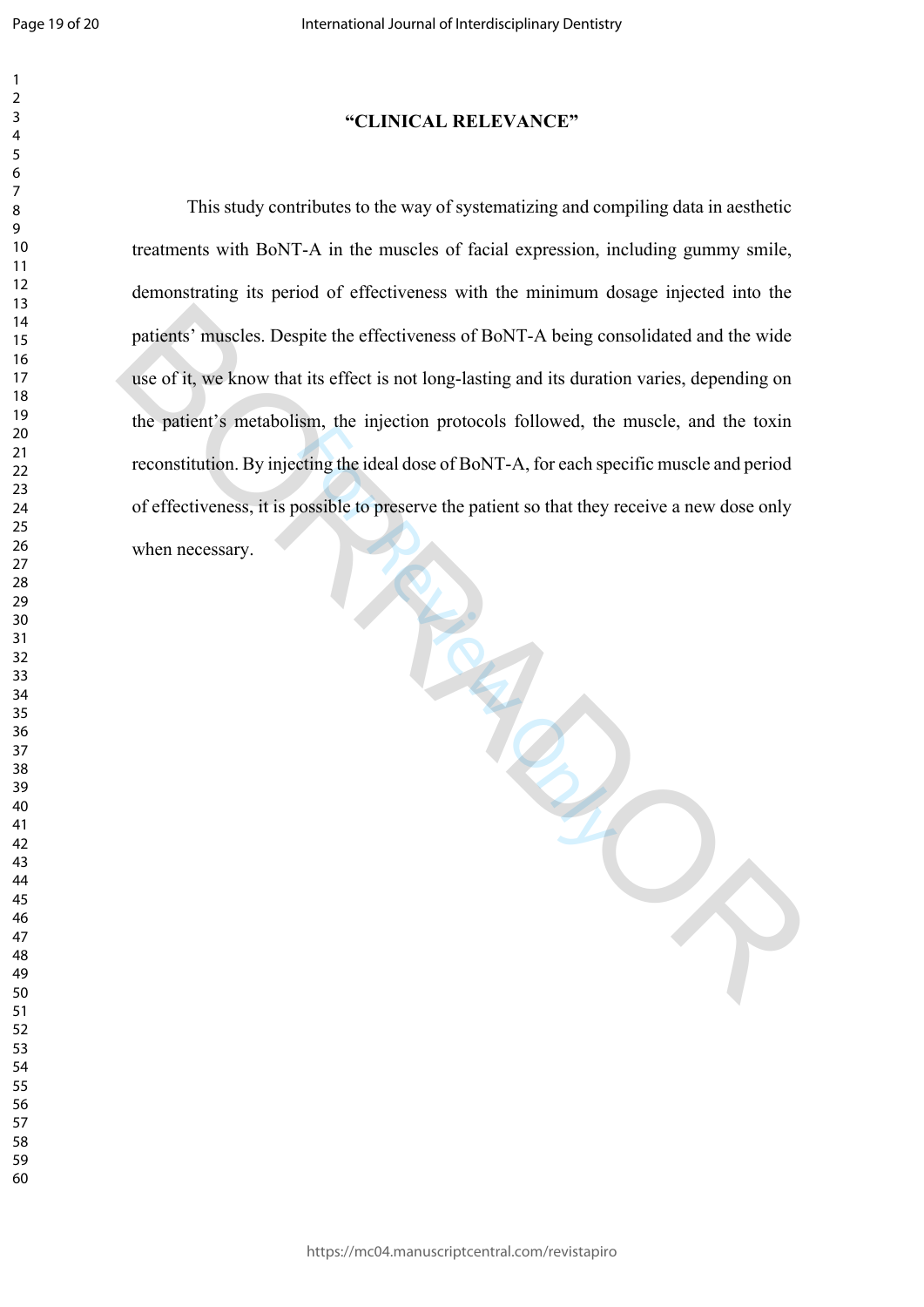#### **"CLINICAL RELEVANCE"**

For Review of BoNT-A, for each specified the ideal dose of BoNT-A, for each specified to preserve the patient so that they review the patient so that they review the patient so that they review of the patient so that they This study contributes to the way of systematizing and compiling data in aesthetic treatments with BoNT-A in the muscles of facial expression, including gummy smile, demonstrating its period of effectiveness with the minimum dosage injected into the patients' muscles. Despite the effectiveness of BoNT-A being consolidated and the wide use of it, we know that its effect is not long-lasting and its duration varies, depending on the patient's metabolism, the injection protocols followed, the muscle, and the toxin reconstitution. By injecting the ideal dose of BoNT-A, for each specific muscle and period of effectiveness, it is possible to preserve the patient so that they receive a new dose only when necessary. patients' muscles. Despite the effectiveness of BoNT-A being consolidated and the wide<br>use of it, we know that its effect is not long-lasting and its duration varies, depending on<br>the patient's metabolism, the injection pr